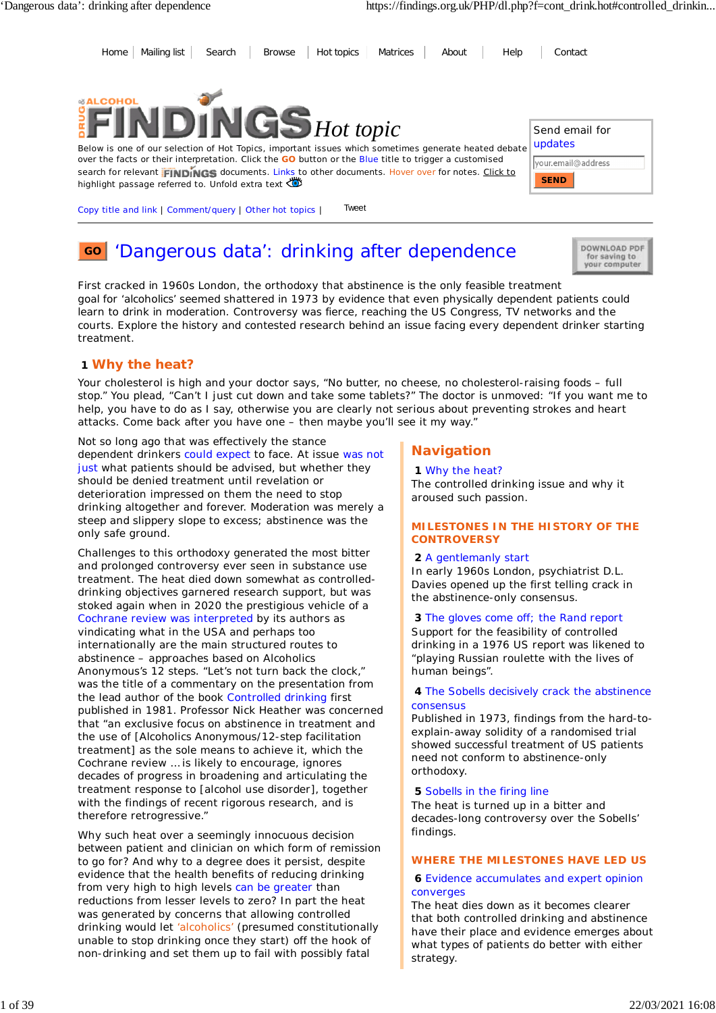Send email for updates

your.email@address

**SEND**

Home | Mailing list | Search | Browse | Hot topics | Matrices | About | Help | Contact



Below is one of our selection of Hot Topics, important issues which sometimes generate heated debate over the facts or their interpretation. Click the **GO** button or the Blue title to trigger a customised search for relevant FINDINGS documents. Links to other documents. Hover over for notes. Click to highlight passage referred to. Unfold extra text

Copy title and link | Comment/query | Other hot topics | Tweet

#### 'Dangerous data': drinking after dependence **GO**

DOWNLOAD PDF for saving to your computer

*First cracked in 1960s London, the orthodoxy that abstinence is the only feasible treatment goal for 'alcoholics' seemed shattered in 1973 by evidence that even physically dependent patients could learn to drink in moderation. Controversy was fierce, reaching the US Congress, TV networks and the courts. Explore the history and contested research behind an issue facing every dependent drinker starting treatment.*

## **1 Why the heat?**

Your cholesterol is high and your doctor says, "No butter, no cheese, no cholesterol-raising foods - full stop." You plead, "Can't I just cut down and take some tablets?" The doctor is unmoved: "If you want me to help, you have to do as I say, otherwise you are clearly not serious about preventing strokes and heart attacks. Come back after you have one – then maybe you'll see it my way."

Not so long ago that was effectively the stance dependent drinkers could expect to face. At issue was not just what patients should be advised, but whether they should be denied treatment until revelation or deterioration impressed on them the need to stop drinking altogether and forever. Moderation was merely a steep and slippery slope to excess; abstinence was the only safe ground.

Challenges to this orthodoxy generated the most bitter and prolonged controversy ever seen in substance use treatment. The heat died down somewhat as controlleddrinking objectives garnered research support, but was stoked again when in 2020 the prestigious vehicle of a Cochrane review was interpreted by its authors as vindicating what in the USA and perhaps too internationally are the main structured routes to abstinence – approaches based on Alcoholics Anonymous's 12 steps. "Let's not turn back the clock," was the title of a commentary on the presentation from the lead author of the book *Controlled drinking* first published in 1981. Professor Nick Heather was concerned that "an exclusive focus on abstinence in treatment and the use of [Alcoholics Anonymous/12-step facilitation treatment] as the sole means to achieve it, which the Cochrane review … is likely to encourage, ignores decades of progress in broadening and articulating the treatment response to [alcohol use disorder], together with the findings of recent rigorous research, and is therefore retrogressive."

Why such heat over a seemingly innocuous decision between patient and clinician on which form of remission to go for? And why to a degree does it persist, despite evidence that the health benefits of reducing drinking from very high to high levels can be greater than reductions from lesser levels to zero? In part the heat was generated by concerns that allowing controlled drinking would let 'alcoholics' (presumed constitutionally unable to stop drinking once they start) off the hook of non-drinking and set them up to fail with possibly fatal

# **Navigation**

### **1** *Why the heat?*

The controlled drinking issue and why it aroused such passion.

### **MILESTONES IN THE HISTORY OF THE CONTROVERSY**

### **2** *A gentlemanly start*

In early 1960s London, psychiatrist D.L. Davies opened up the first telling crack in the abstinence-only consensus.

**3** *The gloves come off; the Rand report*

Support for the feasibility of controlled drinking in a 1976 US report was likened to "playing Russian roulette with the lives of human beings".

### **4** *The Sobells decisively crack the abstinence consensus*

Published in 1973, findings from the hard-toexplain-away solidity of a randomised trial showed successful treatment of US patients need not conform to abstinence-only orthodoxy.

### **5** *Sobells in the firing line*

The heat is turned up in a bitter and decades-long controversy over the Sobells' findings.

### **WHERE THE MILESTONES HAVE LED US**

### **6** *Evidence accumulates and expert opinion converges*

The heat dies down as it becomes clearer that both controlled drinking and abstinence have their place and evidence emerges about what types of patients do better with either strategy.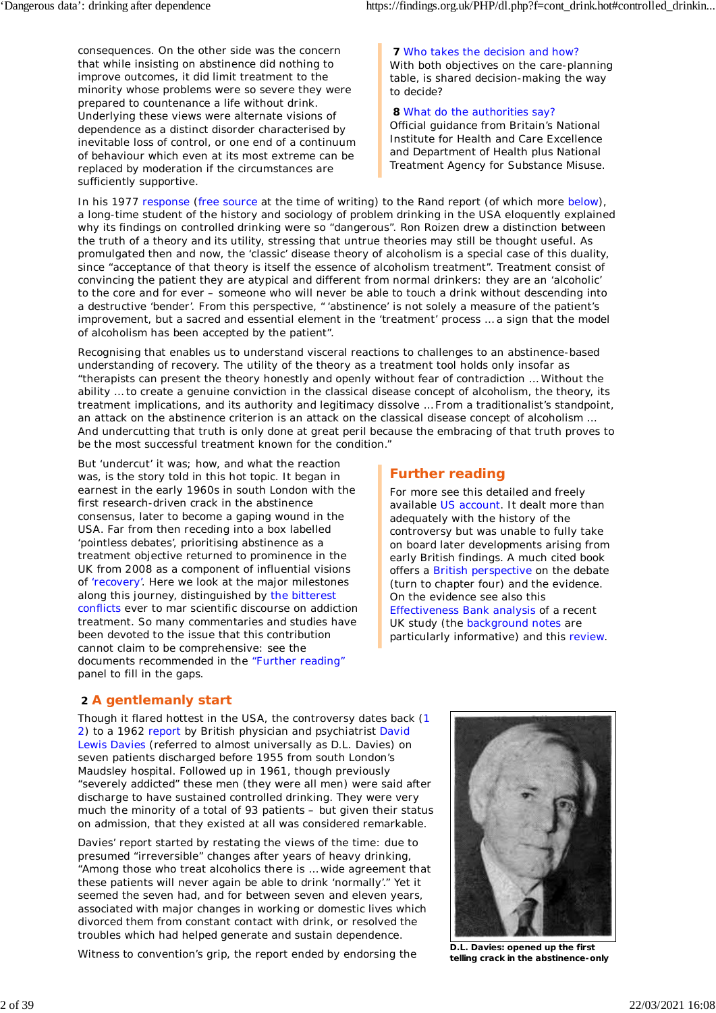consequences. On the other side was the concern that while insisting on abstinence did nothing to improve outcomes, it did limit treatment to the minority whose problems were so severe they were prepared to countenance a life without drink. Underlying these views were alternate visions of dependence as a distinct disorder characterised by inevitable loss of control, or one end of a continuum of behaviour which even at its most extreme can be replaced by moderation if the circumstances are sufficiently supportive.

**7** *Who takes the decision and how?* With both objectives on the care-planning table, is shared decision-making the way to decide?

### **8** *What do the authorities say?*

Official guidance from Britain's National Institute for Health and Care Excellence and Department of Health plus National Treatment Agency for Substance Misuse.

In his 1977 response (free source at the time of writing) to the Rand report (of which more below), a long-time student of the history and sociology of problem drinking in the USA eloquently explained why its findings on controlled drinking were so "dangerous". Ron Roizen drew a distinction between the truth of a theory and its utility, stressing that untrue theories may still be thought useful. As promulgated then and now, the 'classic' disease theory of alcoholism is a special case of this duality, since "acceptance of that theory is itself the essence of alcoholism treatment". Treatment consist of convincing the patient they are atypical and different from normal drinkers: they are an 'alcoholic' to the core and for ever – someone who will never be able to touch a drink without descending into a destructive 'bender'. From this perspective, " 'abstinence' is not solely a measure of the patient's improvement, but a sacred and essential element in the 'treatment' process … a sign that the model of alcoholism has been accepted by the patient".

Recognising that enables us to understand visceral reactions to challenges to an abstinence-based understanding of recovery. The utility of the theory as a treatment tool holds only insofar as "therapists can present the theory honestly and openly without fear of contradiction … Without the ability … to create a genuine conviction in the classical disease concept of alcoholism, the theory, its treatment implications, and its authority and legitimacy dissolve … From a traditionalist's standpoint, an attack on the abstinence criterion is an attack on the classical disease concept of alcoholism … And undercutting that truth is only done at great peril because the embracing of that truth proves to be the most successful treatment known for the condition."

But 'undercut' it was; how, and what the reaction was, is the story told in this hot topic. It began in earnest in the early 1960s in south London with the first research-driven crack in the abstinence consensus, later to become a gaping wound in the USA. Far from then receding into a box labelled 'pointless debates', prioritising abstinence as a treatment objective returned to prominence in the UK from 2008 as a component of influential visions of 'recovery'. Here we look at the major milestones along this journey, distinguished by the bitterest conflicts ever to mar scientific discourse on addiction treatment. So many commentaries and studies have been devoted to the issue that this contribution cannot claim to be comprehensive: see the documents recommended in the "Further reading" panel to fill in the gaps.

# **Further reading**

For more see this detailed and freely available US account. It dealt more than adequately with the history of the controversy but was unable to fully take on board later developments arising from early British findings. A much cited book offers a British perspective on the debate (turn to chapter four) and the evidence. On the evidence see also this Effectiveness Bank analysis of a recent UK study (the background notes are particularly informative) and this review.

# **2 A gentlemanly start**

Though it flared hottest in the USA, the controversy dates back (1 2) to a 1962 report by British physician and psychiatrist David Lewis Davies (referred to almost universally as D.L. Davies) on seven patients discharged before 1955 from south London's Maudsley hospital. Followed up in 1961, though previously "severely addicted" these men (they were all men) were said after discharge to have sustained controlled drinking. They were very much the minority of a total of 93 patients – but given their status on admission, that they existed at all was considered remarkable.

Davies' report started by restating the views of the time: due to presumed "irreversible" changes after years of heavy drinking, "Among those who treat alcoholics there is … wide agreement that these patients will never again be able to drink 'normally'." Yet it seemed the seven had, and for between seven and eleven years, associated with major changes in working or domestic lives which divorced them from constant contact with drink, or resolved the troubles which had helped generate and sustain dependence.

Witness to convention's grip, the report ended by endorsing the



**D.L. Davies: opened up the first telling crack in the abstinence-only**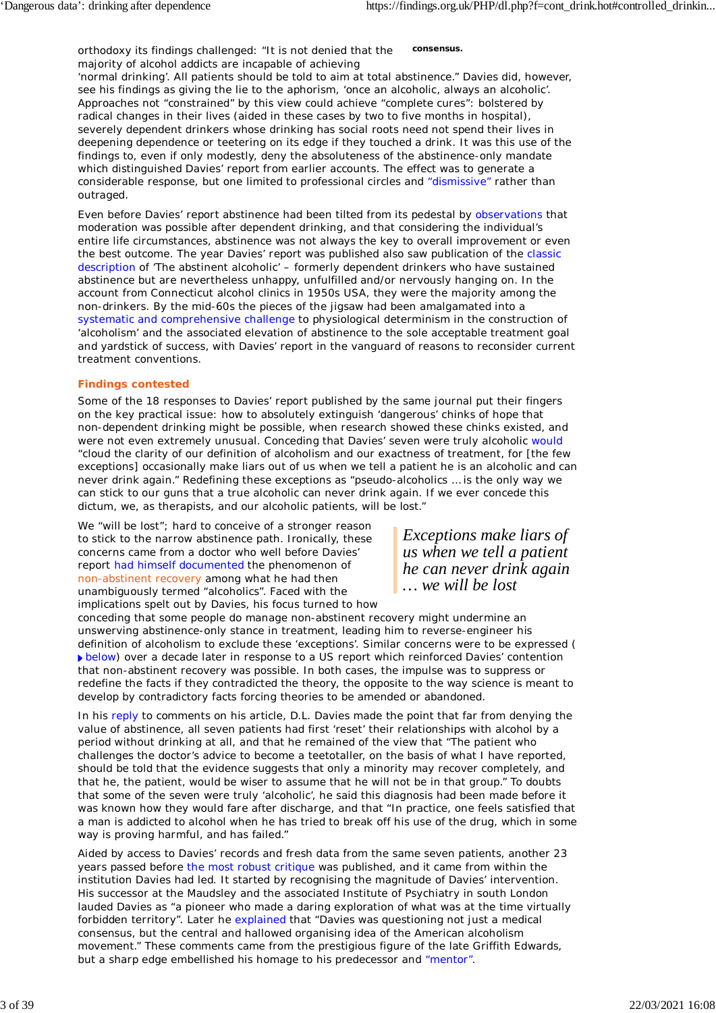**consensus.** orthodoxy its findings challenged: "It is not denied that the majority of alcohol addicts are incapable of achieving

'normal drinking'. All patients should be told to aim at total abstinence." Davies did, however, see his findings as giving the lie to the aphorism, 'once an alcoholic, always an alcoholic'. Approaches not "constrained" by this view could achieve "complete cures": bolstered by radical changes in their lives (aided in these cases by two to five months in hospital), severely dependent drinkers whose drinking has social roots need not spend their lives in deepening dependence or teetering on its edge if they touched a drink. It was this use of the findings to, even if only modestly, deny the absoluteness of the abstinence-only mandate which distinguished Davies' report from earlier accounts. The effect was to generate a considerable response, but one limited to professional circles and "dismissive" rather than outraged.

Even before Davies' report abstinence had been tilted from its pedestal by observations that moderation was possible after dependent drinking, and that considering the individual's entire life circumstances, abstinence was not always the key to overall improvement or even the best outcome. The year Davies' report was published also saw publication of the classic description of 'The abstinent alcoholic' – formerly dependent drinkers who have sustained abstinence but are nevertheless unhappy, unfulfilled and/or nervously hanging on. In the account from Connecticut alcohol clinics in 1950s USA, they were the majority among the non-drinkers. By the mid-60s the pieces of the jigsaw had been amalgamated into a systematic and comprehensive challenge to physiological determinism in the construction of 'alcoholism' and the associated elevation of abstinence to the sole acceptable treatment goal and yardstick of success, with Davies' report in the vanguard of reasons to reconsider current treatment conventions.

### **Findings contested**

Some of the 18 responses to Davies' report published by the same journal put their fingers on the key practical issue: how to absolutely extinguish 'dangerous' chinks of hope that non-dependent drinking might be possible, when research showed these chinks existed, and were not even extremely unusual. Conceding that Davies' seven were truly alcoholic would "cloud the clarity of our definition of alcoholism and our exactness of treatment, for [the few exceptions] occasionally make liars out of us when we tell a patient he is an alcoholic and can never drink again." Redefining these exceptions as "pseudo-alcoholics … is the only way we can stick to our guns that a true alcoholic can never drink again. If we ever concede this dictum, we, as therapists, and our alcoholic patients, will be lost."

We "will be lost"; hard to conceive of a stronger reason to stick to the narrow abstinence path. Ironically, these concerns came from a doctor who well before Davies' report had himself documented the phenomenon of non-abstinent recovery among what he had then unambiguously termed "alcoholics". Faced with the implications spelt out by Davies, his focus turned to how

*Exceptions make liars of us when we tell a patient he can never drink again … we will be lost*

conceding that some people do manage non-abstinent recovery might undermine an unswerving abstinence-only stance in treatment, leading him to reverse-engineer his definition of alcoholism to exclude these 'exceptions'. Similar concerns were to be expressed ( below) over a decade later in response to a US report which reinforced Davies' contention that non-abstinent recovery was possible. In both cases, the impulse was to suppress or redefine the facts if they contradicted the theory, the opposite to the way science is meant to develop by contradictory facts forcing theories to be amended or abandoned.

In his reply to comments on his article, D.L. Davies made the point that far from denying the value of abstinence, all seven patients had first 'reset' their relationships with alcohol by a period without drinking at all, and that he remained of the view that "The patient who challenges the doctor's advice to become a teetotaller, on the basis of what I have reported, should be told that the evidence suggests that only a minority may recover completely, and that he, the patient, would be wiser to assume that he will not be in that group." To doubts that some of the seven were truly 'alcoholic', he said this diagnosis had been made before it was known how they would fare after discharge, and that "In practice, one feels satisfied that a man is addicted to alcohol when he has tried to break off his use of the drug, which in some way is proving harmful, and has failed."

Aided by access to Davies' records and fresh data from the same seven patients, another 23 years passed before the most robust critique was published, and it came from within the institution Davies had led. It started by recognising the magnitude of Davies' intervention. His successor at the Maudsley and the associated Institute of Psychiatry in south London lauded Davies as "a pioneer who made a daring exploration of what was at the time virtually forbidden territory". Later he explained that "Davies was questioning not just a medical consensus, but the central and hallowed organising idea of the American alcoholism movement." These comments came from the prestigious figure of the late Griffith Edwards, but a sharp edge embellished his homage to his predecessor and "mentor".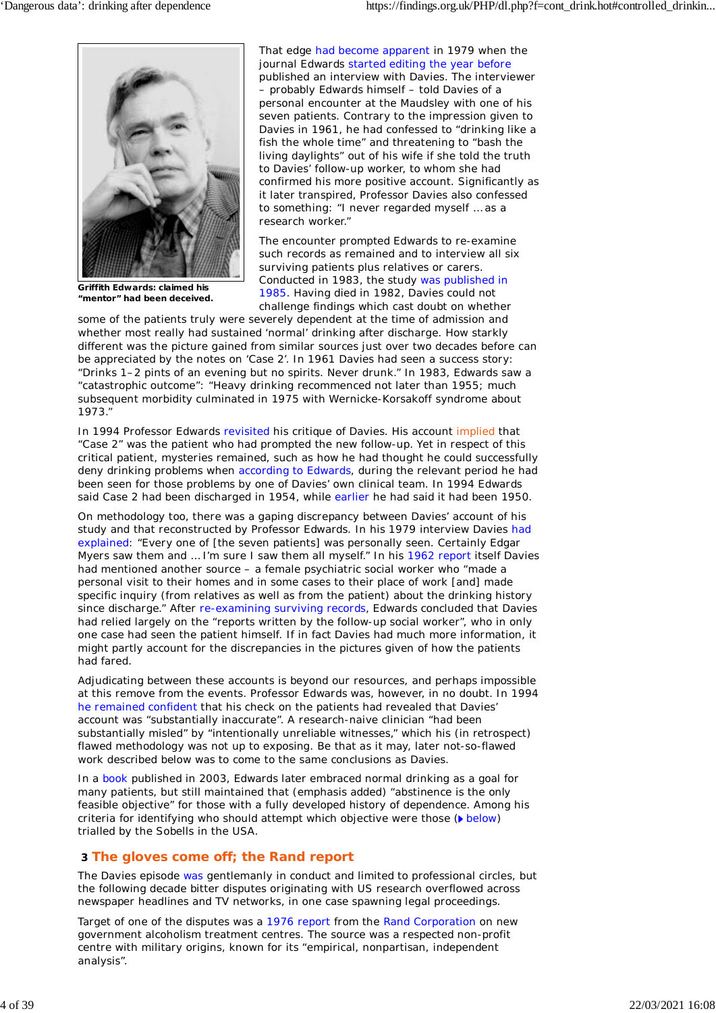

**Griffith Edwards: claimed his "mentor" had been deceived.**

That edge had become apparent in 1979 when the journal Edwards started editing the year before published an interview with Davies. The interviewer – probably Edwards himself – told Davies of a personal encounter at the Maudsley with one of his seven patients. Contrary to the impression given to Davies in 1961, he had confessed to "drinking like a

fish the whole time" and threatening to "bash the living daylights" out of his wife if she told the truth to Davies' follow-up worker, to whom she had confirmed his more positive account. Significantly as it later transpired, Professor Davies also confessed to something: "I never regarded myself … as a research worker."

The encounter prompted Edwards to re-examine such records as remained and to interview all six surviving patients plus relatives or carers. Conducted in 1983, the study was published in 1985. Having died in 1982, Davies could not challenge findings which cast doubt on whether

some of the patients truly were severely dependent at the time of admission and whether most really had sustained 'normal' drinking after discharge. How starkly different was the picture gained from similar sources just over two decades before can be appreciated by the notes on 'Case 2'. In 1961 Davies had seen a success story: "Drinks 1–2 pints of an evening but no spirits. Never drunk." In 1983, Edwards saw a "catastrophic outcome": "Heavy drinking recommenced not later than 1955; much subsequent morbidity culminated in 1975 with Wernicke-Korsakoff syndrome about 1973."

In 1994 Professor Edwards revisited his critique of Davies. His account implied that "Case 2" was the patient who had prompted the new follow-up. Yet in respect of this critical patient, mysteries remained, such as how he had thought he could successfully deny drinking problems when according to Edwards, during the relevant period he had been seen for those problems by one of Davies' own clinical team. In 1994 Edwards said Case 2 had been discharged in 1954, while earlier he had said it had been 1950.

On methodology too, there was a gaping discrepancy between Davies' account of his study and that reconstructed by Professor Edwards. In his 1979 interview Davies had explained: "Every one of [the seven patients] was personally seen. Certainly Edgar Myers saw them and … I'm sure I saw them all myself." In his 1962 report itself Davies had mentioned another source – a female psychiatric social worker who "made a personal visit to their homes and in some cases to their place of work [and] made specific inquiry (from relatives as well as from the patient) about the drinking history since discharge." After re-examining surviving records, Edwards concluded that Davies had relied largely on the "reports written by the follow-up social worker", who in only one case had seen the patient himself. If in fact Davies had much more information, it might partly account for the discrepancies in the pictures given of how the patients had fared.

Adjudicating between these accounts is beyond our resources, and perhaps impossible at this remove from the events. Professor Edwards was, however, in no doubt. In 1994 he remained confident that his check on the patients had revealed that Davies' account was "substantially inaccurate". A research-naive clinician "had been substantially misled" by "intentionally unreliable witnesses," which his (in retrospect) flawed methodology was not up to exposing. Be that as it may, later not-so-flawed work described below was to come to the same conclusions as Davies.

In a book published in 2003, Edwards later embraced normal drinking as a goal for many patients, but still maintained that (emphasis added) "abstinence is the *only* feasible objective" for those with a fully developed history of dependence. Among his criteria for identifying who should attempt which objective were those ( $\blacktriangleright$  below) trialled by the Sobells in the USA.

# **3 The gloves come off; the Rand report**

The Davies episode was gentlemanly in conduct and limited to professional circles, but the following decade bitter disputes originating with US research overflowed across newspaper headlines and TV networks, in one case spawning legal proceedings.

Target of one of the disputes was a 1976 report from the Rand Corporation on new government alcoholism treatment centres. The source was a respected non-profit centre with military origins, known for its "empirical, nonpartisan, independent analysis".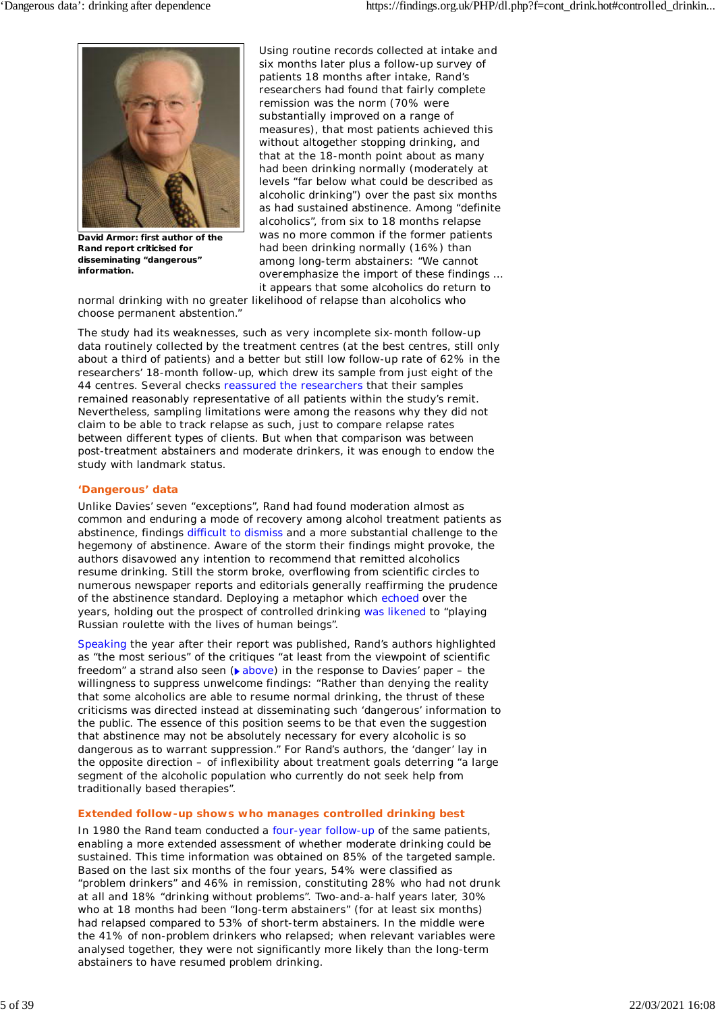

**David Armor: first author of the Rand report criticised for disseminating "dangerous" information.**

Using routine records collected at intake and six months later plus a follow-up survey of patients 18 months after intake, Rand's researchers had found that fairly complete remission was the norm (70% were substantially improved on a range of measures), that most patients achieved this without altogether stopping drinking, and that at the 18-month point about as many had been drinking normally (moderately at levels "far below what could be described as alcoholic drinking") over the past six months as had sustained abstinence. Among "definite alcoholics", from six to 18 months relapse was no more common if the former patients had been drinking normally (16%) than among long-term abstainers: "We cannot overemphasize the import of these findings … it appears that some alcoholics do return to

normal drinking with no greater likelihood of relapse than alcoholics who choose permanent abstention."

The study had its weaknesses, such as very incomplete six-month follow-up data routinely collected by the treatment centres (at the best centres, still only about a third of patients) and a better but still low follow-up rate of 62% in the researchers' 18-month follow-up, which drew its sample from just eight of the 44 centres. Several checks reassured the researchers that their samples remained reasonably representative of all patients within the study's remit. Nevertheless, sampling limitations were among the reasons why they did not claim to be able to track relapse as such, just to compare relapse rates between different types of clients. But when that comparison was between post-treatment abstainers and moderate drinkers, it was enough to endow the study with landmark status.

### **'Dangerous' data**

Unlike Davies' seven "exceptions", Rand had found moderation almost as common and enduring a mode of recovery among alcohol treatment patients as abstinence, findings difficult to dismiss and a more substantial challenge to the hegemony of abstinence. Aware of the storm their findings might provoke, the authors disavowed any intention to recommend that remitted alcoholics resume drinking. Still the storm broke, overflowing from scientific circles to numerous newspaper reports and editorials generally reaffirming the prudence of the abstinence standard. Deploying a metaphor which echoed over the years, holding out the prospect of controlled drinking was likened to "playing Russian roulette with the lives of human beings".

Speaking the year after their report was published, Rand's authors highlighted as "the most serious" of the critiques "at least from the viewpoint of scientific freedom" a strand also seen ( $\triangleright$  above) in the response to Davies' paper – the willingness to suppress unwelcome findings: "Rather than denying the reality that some alcoholics are able to resume normal drinking, the thrust of these criticisms was directed instead at disseminating such 'dangerous' information to the public. The essence of this position seems to be that even the suggestion that abstinence may not be absolutely necessary for every alcoholic is so dangerous as to warrant suppression." For Rand's authors, the 'danger' lay in the opposite direction – of inflexibility about treatment goals deterring "a large segment of the alcoholic population who currently do not seek help from traditionally based therapies".

### **Extended follow-up shows who manages controlled drinking best**

In 1980 the Rand team conducted a four-year follow-up of the same patients, enabling a more extended assessment of whether moderate drinking could be sustained. This time information was obtained on 85% of the targeted sample. Based on the last six months of the four years, 54% were classified as "problem drinkers" and 46% in remission, constituting 28% who had not drunk at all and 18% "drinking without problems". Two-and-a-half years later, 30% who at 18 months had been "long-term abstainers" (for at least six months) had relapsed compared to 53% of short-term abstainers. In the middle were the 41% of non-problem drinkers who relapsed; when relevant variables were analysed together, they were not significantly more likely than the long-term abstainers to have resumed problem drinking.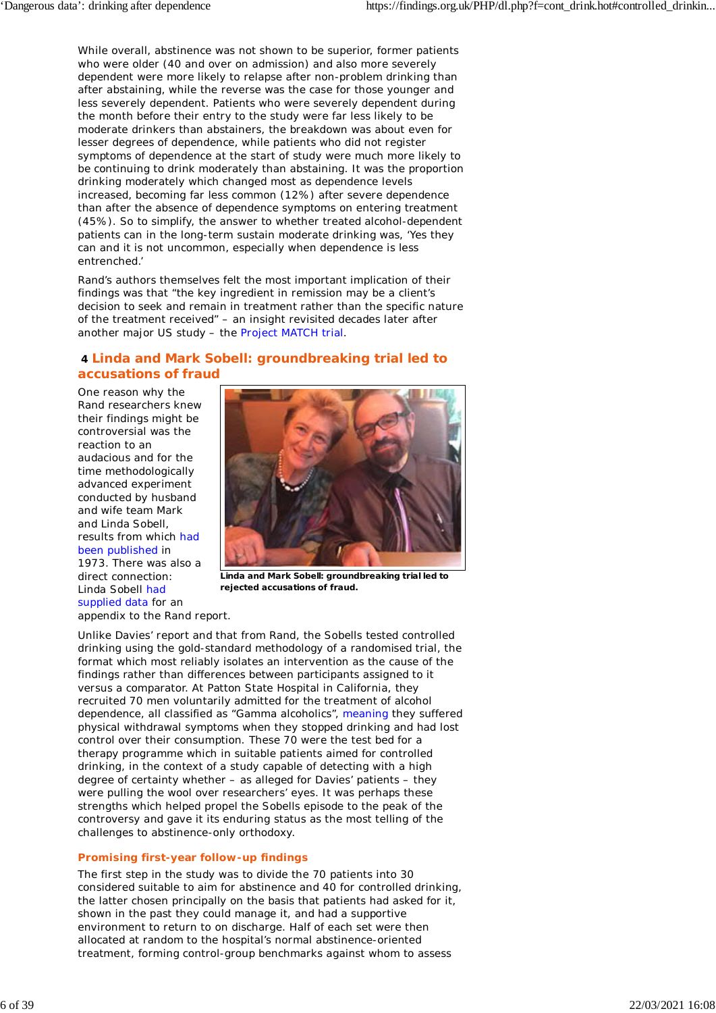While overall, abstinence was not shown to be superior, former patients who were older (40 and over on admission) and also more severely dependent were more likely to relapse after non-problem drinking than after abstaining, while the reverse was the case for those younger and less severely dependent. Patients who were severely dependent during the month before their entry to the study were far less likely to be moderate drinkers than abstainers, the breakdown was about even for lesser degrees of dependence, while patients who did not register symptoms of dependence at the start of study were much more likely to be continuing to drink moderately than abstaining. It was the proportion drinking moderately which changed most as dependence levels increased, becoming far less common (12%) after severe dependence than after the absence of dependence symptoms on entering treatment (45%). So to simplify, the answer to whether treated alcohol-dependent patients can in the long-term sustain moderate drinking was, 'Yes they can and it is not uncommon, especially when dependence is less entrenched.'

Rand's authors themselves felt the most important implication of their findings was that "the key ingredient in remission may be a client's decision to seek and remain in treatment rather than the specific nature of the treatment received" – an insight revisited decades later after another major US study – the Project MATCH trial.

### **4 Linda and Mark Sobell: groundbreaking trial led to accusations of fraud**

One reason why the Rand researchers knew their findings might be controversial was the reaction to an audacious and for the time methodologically advanced experiment conducted by husband and wife team Mark and Linda Sobell, results from which had been published in 1973. There was also a direct connection: Linda Sobell had supplied data for an appendix to the Rand report.



**Linda and Mark Sobell: groundbreaking trial led to rejected accusations of fraud.**

Unlike Davies' report and that from Rand, the Sobells tested controlled drinking using the gold-standard methodology of a randomised trial, the format which most reliably isolates an intervention as the cause of the findings rather than differences between participants assigned to it versus a comparator. At Patton State Hospital in California, they recruited 70 men voluntarily admitted for the treatment of alcohol dependence, all classified as "*Gamma* alcoholics", meaning they suffered physical withdrawal symptoms when they stopped drinking and had lost control over their consumption. These 70 were the test bed for a therapy programme which in suitable patients aimed for controlled drinking, in the context of a study capable of detecting with a high degree of certainty whether – as alleged for Davies' patients – they were pulling the wool over researchers' eyes. It was perhaps these strengths which helped propel the Sobells episode to the peak of the controversy and gave it its enduring status as the most telling of the challenges to abstinence-only orthodoxy.

### **Promising first-year follow-up findings**

The first step in the study was to divide the 70 patients into 30 considered suitable to aim for abstinence and 40 for controlled drinking, the latter chosen principally on the basis that patients had asked for it, shown in the past they could manage it, and had a supportive environment to return to on discharge. Half of each set were then allocated at random to the hospital's normal abstinence-oriented treatment, forming control-group benchmarks against whom to assess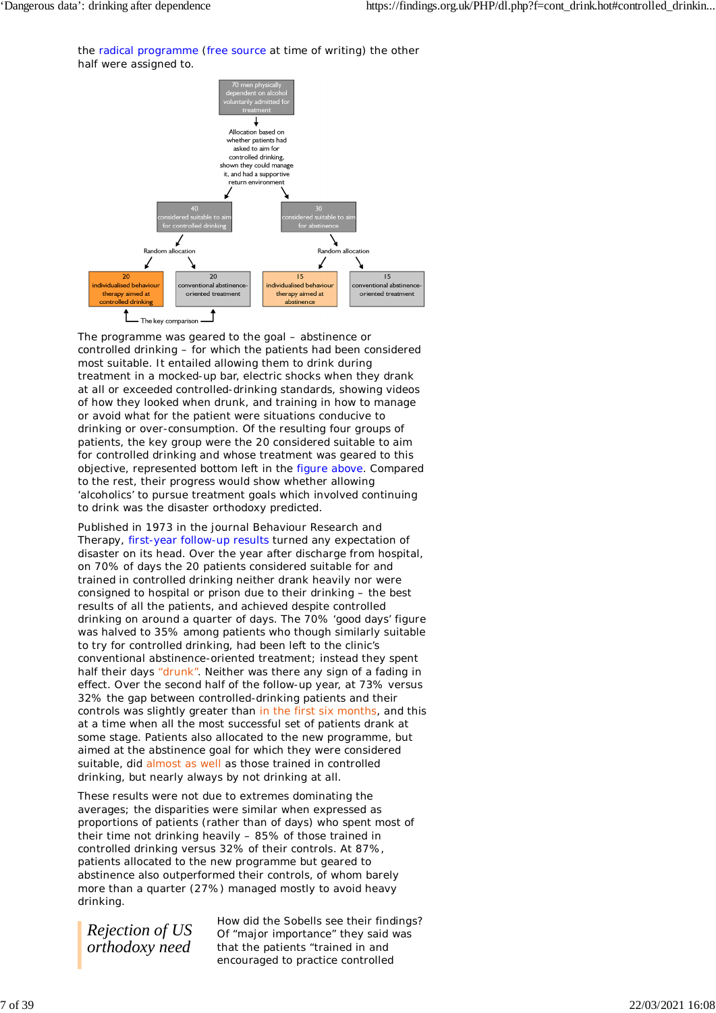the radical programme (free source at time of writing) the other half were assigned to.



The programme was geared to the goal – abstinence or controlled drinking – for which the patients had been considered most suitable. It entailed allowing them to drink during treatment in a mocked-up bar, electric shocks when they drank at all or exceeded controlled-drinking standards, showing videos of how they looked when drunk, and training in how to manage or avoid what for the patient were situations conducive to drinking or over-consumption. Of the resulting four groups of patients, the key group were the 20 considered suitable to aim for controlled drinking and whose treatment was geared to this objective, represented bottom left in the figure above. Compared to the rest, their progress would show whether allowing 'alcoholics' to pursue treatment goals which involved continuing to drink was the disaster orthodoxy predicted.

Published in 1973 in the journal *Behaviour Research and Therapy*, first-year follow-up results turned any expectation of disaster on its head. Over the year after discharge from hospital, on 70% of days the 20 patients considered suitable for and trained in controlled drinking neither drank heavily nor were consigned to hospital or prison due to their drinking – the best results of all the patients, and achieved despite controlled drinking on around a quarter of days. The 70% 'good days' figure was halved to 35% among patients who though similarly suitable to try for controlled drinking, had been left to the clinic's conventional abstinence-oriented treatment; instead they spent half their days "drunk". Neither was there any sign of a fading in effect. Over the second half of the follow-up year, at 73% versus 32% the gap between controlled-drinking patients and their controls was slightly greater than in the first six months, and this at a time when all the most successful set of patients drank at some stage. Patients also allocated to the new programme, but aimed at the abstinence goal for which they were considered suitable, did almost as well as those trained in controlled drinking, but nearly always by not drinking at all.

These results were not due to extremes dominating the averages; the disparities were similar when expressed as proportions of patients (rather than of days) who spent most of their time not drinking heavily – 85% of those trained in controlled drinking versus 32% of their controls. At 87%, patients allocated to the new programme but geared to abstinence also outperformed their controls, of whom barely more than a quarter (27%) managed mostly to avoid heavy drinking.

*Rejection of US orthodoxy need*

How did the Sobells see their findings? Of "major importance" they said was that the patients "trained in and encouraged to practice controlled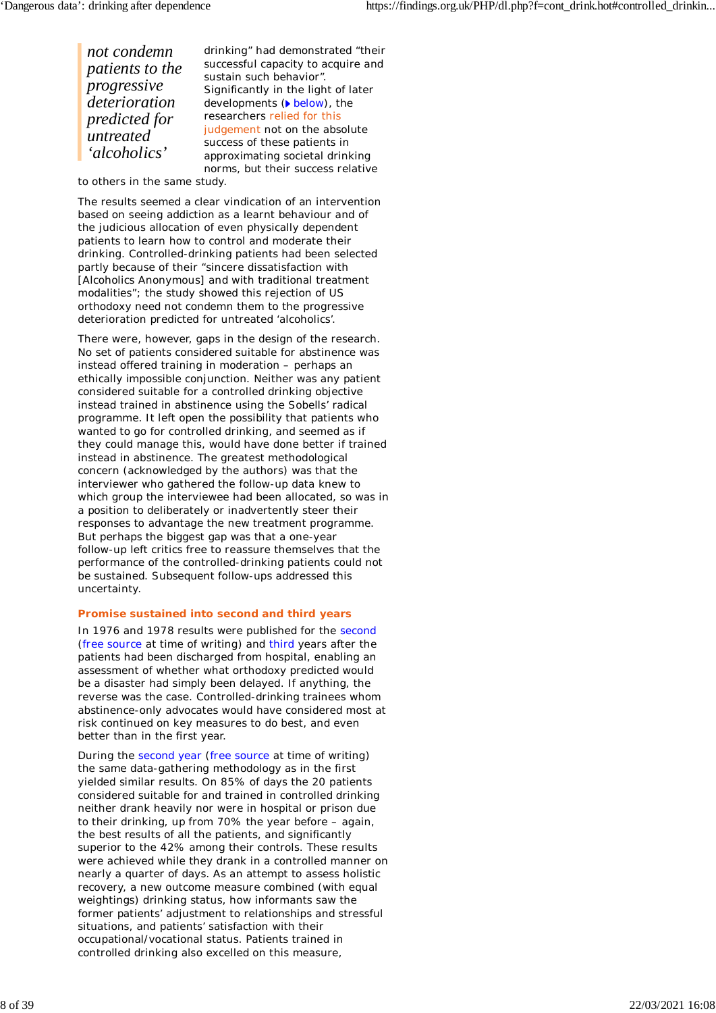*not condemn patients to the progressive deterioration predicted for untreated 'alcoholics'* drinking" had demonstrated "their successful capacity to acquire and sustain such behavior". Significantly in the light of later developments (below), the researchers relied for this judgement not on the absolute success of these patients in approximating societal drinking

norms, but their success relative

to others in the same study.

The results seemed a clear vindication of an intervention based on seeing addiction as a learnt behaviour and of the judicious allocation of even physically dependent patients to learn how to control and moderate their drinking. Controlled-drinking patients had been selected partly because of their "sincere dissatisfaction with [Alcoholics Anonymous] and with traditional treatment modalities"; the study showed this rejection of US orthodoxy need not condemn them to the progressive deterioration predicted for untreated 'alcoholics'.

There were, however, gaps in the design of the research. No set of patients considered suitable for abstinence was instead offered training in moderation – perhaps an ethically impossible conjunction. Neither was any patient considered suitable for a controlled drinking objective instead trained in abstinence using the Sobells' radical programme. It left open the possibility that patients who wanted to go for controlled drinking, and seemed as if they could manage this, would have done better if trained instead in abstinence. The greatest methodological concern (acknowledged by the authors) was that the interviewer who gathered the follow-up data knew to which group the interviewee had been allocated, so was in a position to deliberately or inadvertently steer their responses to advantage the new treatment programme. But perhaps the biggest gap was that a one-year follow-up left critics free to reassure themselves that the performance of the controlled-drinking patients could not be sustained. Subsequent follow-ups addressed this uncertainty.

### **Promise sustained into second and third years**

In 1976 and 1978 results were published for the second (free source at time of writing) and third years after the patients had been discharged from hospital, enabling an assessment of whether what orthodoxy predicted would be a disaster had simply been delayed. If anything, the reverse was the case. Controlled-drinking trainees whom abstinence-only advocates would have considered most at risk continued on key measures to do best, and even better than in the first year.

During the second year (free source at time of writing) the same data-gathering methodology as in the first yielded similar results. On 85% of days the 20 patients considered suitable for and trained in controlled drinking neither drank heavily nor were in hospital or prison due to their drinking, up from 70% the year before – again, the best results of all the patients, and significantly superior to the 42% among their controls. These results were achieved while they drank in a controlled manner on nearly a quarter of days. As an attempt to assess holistic recovery, a new outcome measure combined (with equal weightings) drinking status, how informants saw the former patients' adjustment to relationships and stressful situations, and patients' satisfaction with their occupational/vocational status. Patients trained in controlled drinking also excelled on this measure,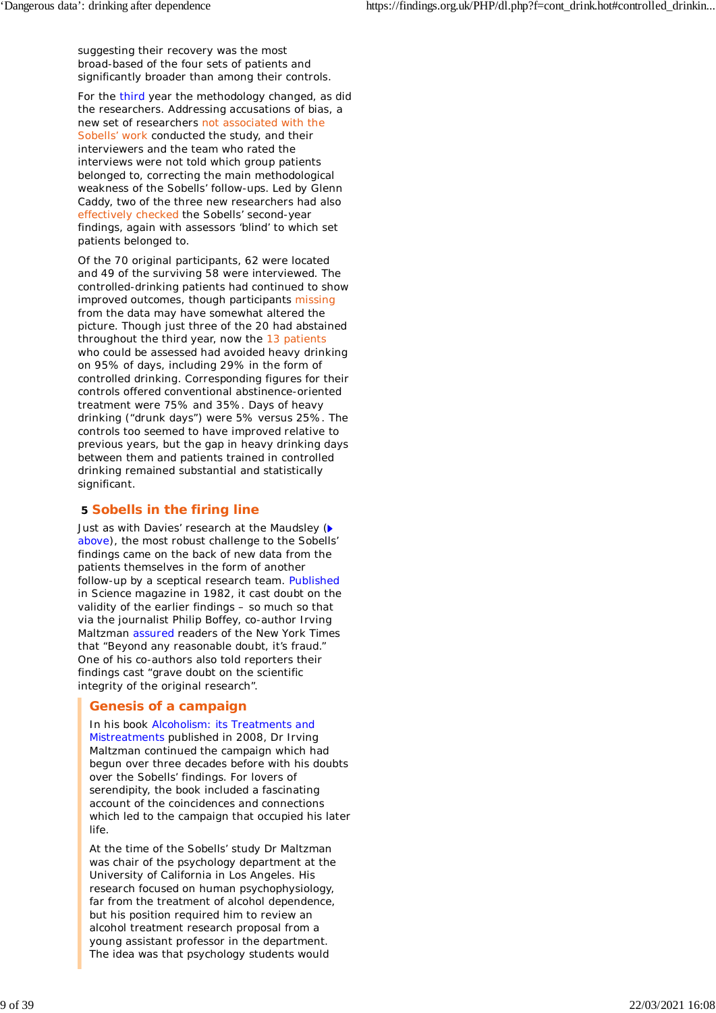suggesting their recovery was the most broad-based of the four sets of patients and significantly broader than among their controls.

For the third year the methodology changed, as did the researchers. Addressing accusations of bias, a new set of researchers not associated with the Sobells' work conducted the study, and their interviewers and the team who rated the interviews were not told which group patients belonged to, correcting the main methodological weakness of the Sobells' follow-ups. Led by Glenn Caddy, two of the three new researchers had also effectively checked the Sobells' second-year findings, again with assessors 'blind' to which set patients belonged to.

Of the 70 original participants, 62 were located and 49 of the surviving 58 were interviewed. The controlled-drinking patients had continued to show improved outcomes, though participants missing from the data may have somewhat altered the picture. Though just three of the 20 had abstained throughout the third year, now the 13 patients who could be assessed had avoided heavy drinking on 95% of days, including 29% in the form of controlled drinking. Corresponding figures for their controls offered conventional abstinence-oriented treatment were 75% and 35%. Days of heavy drinking ("drunk days") were 5% versus 25%. The controls too seemed to have improved relative to previous years, but the gap in heavy drinking days between them and patients trained in controlled drinking remained substantial and statistically significant.

# **5 Sobells in the firing line**

Just as with Davies' research at the Maudsley ( $\blacktriangleright$ above), the most robust challenge to the Sobells' findings came on the back of new data from the patients themselves in the form of another follow-up by a sceptical research team. Published in *Science* magazine in 1982, it cast doubt on the validity of the earlier findings – so much so that via the journalist Philip Boffey, co-author Irving Maltzman assured readers of the *New York Times* that "Beyond any reasonable doubt, it's fraud." One of his co-authors also told reporters their findings cast "grave doubt on the scientific integrity of the original research".

# **Genesis of a campaign**

In his book *Alcoholism: its Treatments and Mistreatments* published in 2008, Dr Irving Maltzman continued the campaign which had begun over three decades before with his doubts over the Sobells' findings. For lovers of serendipity, the book included a fascinating account of the coincidences and connections which led to the campaign that occupied his later life.

At the time of the Sobells' study Dr Maltzman was chair of the psychology department at the University of California in Los Angeles. His research focused on human psychophysiology, far from the treatment of alcohol dependence, but his position required him to review an alcohol treatment research proposal from a young assistant professor in the department. The idea was that psychology students would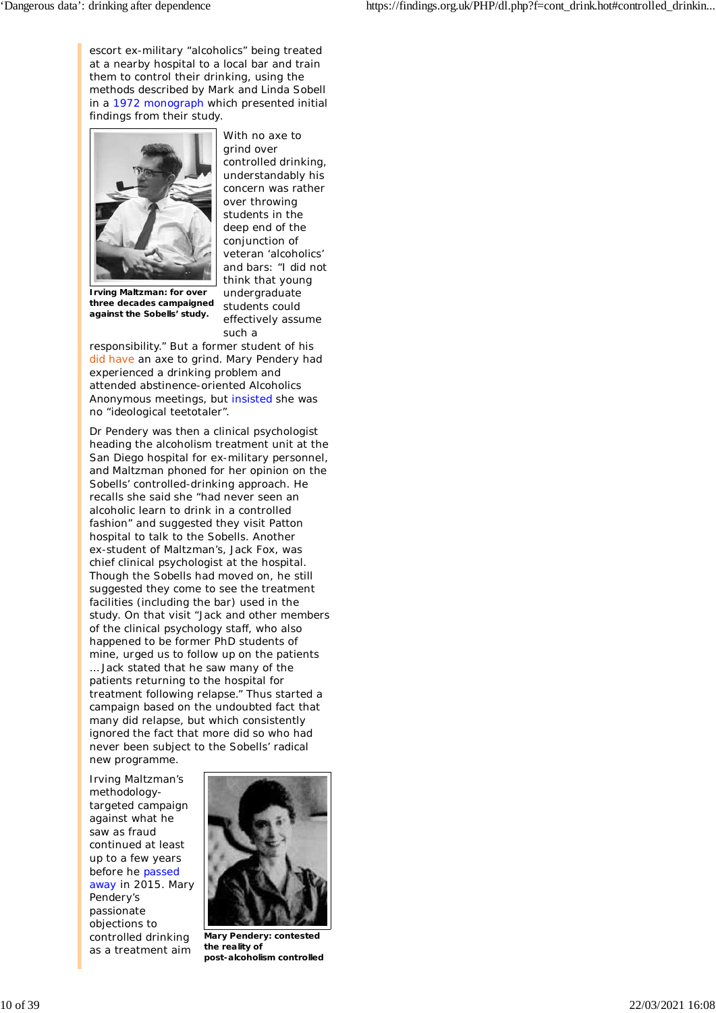escort ex-military "alcoholics" being treated at a nearby hospital to a local bar and train them to control their drinking, using the methods described by Mark and Linda Sobell in a 1972 monograph which presented initial findings from their study.



With no axe to grind over controlled drinking, understandably his concern was rather over throwing students in the deep end of the conjunction of veteran 'alcoholics' and bars: "I did not think that young undergraduate students could effectively assume such a

**three decades campaigned against the Sobells' study.**

responsibility." But a former student of his did have an axe to grind. Mary Pendery had experienced a drinking problem and attended abstinence-oriented Alcoholics Anonymous meetings, but insisted she was no "ideological teetotaler".

Dr Pendery was then a clinical psychologist heading the alcoholism treatment unit at the San Diego hospital for ex-military personnel, and Maltzman phoned for her opinion on the Sobells' controlled-drinking approach. He recalls she said she "had never seen an alcoholic learn to drink in a controlled fashion" and suggested they visit Patton hospital to talk to the Sobells. Another ex-student of Maltzman's, Jack Fox, was chief clinical psychologist at the hospital. Though the Sobells had moved on, he still suggested they come to see the treatment facilities (including the bar) used in the study. On that visit "Jack and other members of the clinical psychology staff, who also happened to be former PhD students of mine, urged us to follow up on the patients … Jack stated that he saw many of the patients returning to the hospital for treatment following relapse." Thus started a campaign based on the undoubted fact that many did relapse, but which consistently ignored the fact that more did so who had never been subject to the Sobells' radical new programme.

Irving Maltzman's methodologytargeted campaign against what he saw as fraud continued at least up to a few years before he passed away in 2015. Mary Pendery's passionate objections to controlled drinking as a treatment aim



**Mary Pendery: contested the reality of post-alcoholism controlled**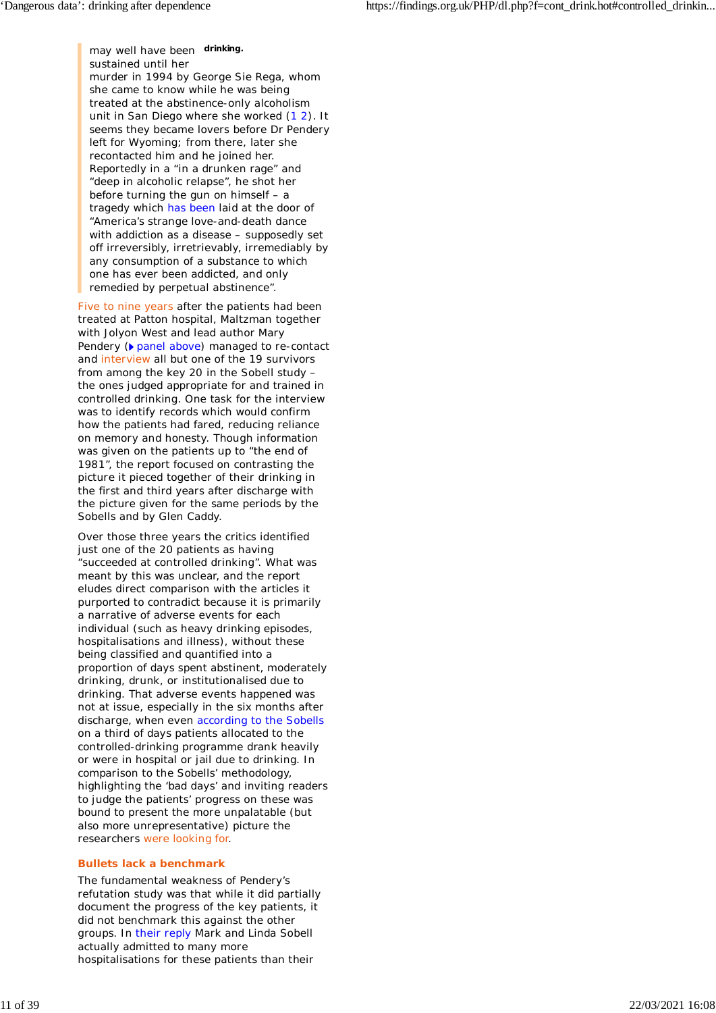may well have been **drinking.** sustained until her murder in 1994 by George Sie Rega, whom she came to know while he was being treated at the abstinence-only alcoholism unit in San Diego where she worked (1 2). It seems they became lovers before Dr Pendery left for Wyoming; from there, later she recontacted him and he joined her. Reportedly in a "in a drunken rage" and "deep in alcoholic relapse", he shot her before turning the gun on himself – a tragedy which has been laid at the door of "America's strange love-and-death dance with addiction as a disease – supposedly set off irreversibly, irretrievably, irremediably by any consumption of a substance to which one has ever been addicted, and only remedied by perpetual abstinence".

Five to nine years after the patients had been treated at Patton hospital, Maltzman together with Jolyon West and lead author Mary Pendery ( $\triangleright$  panel above) managed to re-contact and interview all but one of the 19 survivors from among the key 20 in the Sobell study – the ones judged appropriate for and trained in controlled drinking. One task for the interview was to identify records which would confirm how the patients had fared, reducing reliance on memory and honesty. Though information was given on the patients up to "the end of 1981", the report focused on contrasting the picture it pieced together of their drinking in the first and third years after discharge with the picture given for the same periods by the Sobells and by Glen Caddy.

Over those three years the critics identified just one of the 20 patients as having "succeeded at controlled drinking". What was meant by this was unclear, and the report eludes direct comparison with the articles it purported to contradict because it is primarily a narrative of adverse events for each individual (such as heavy drinking episodes, hospitalisations and illness), without these being classified and quantified into a proportion of days spent abstinent, moderately drinking, drunk, or institutionalised due to drinking. That adverse events happened was not at issue, especially in the six months after discharge, when even according to the Sobells on a third of days patients allocated to the controlled-drinking programme drank heavily or were in hospital or jail due to drinking. In comparison to the Sobells' methodology, highlighting the 'bad days' and inviting readers to judge the patients' progress on these was bound to present the more unpalatable (but also more unrepresentative) picture the researchers were looking for.

### **Bullets lack a benchmark**

The fundamental weakness of Pendery's refutation study was that while it did partially document the progress of the key patients, it did not benchmark this against the other groups. In their reply Mark and Linda Sobell actually admitted to many more hospitalisations for these patients than their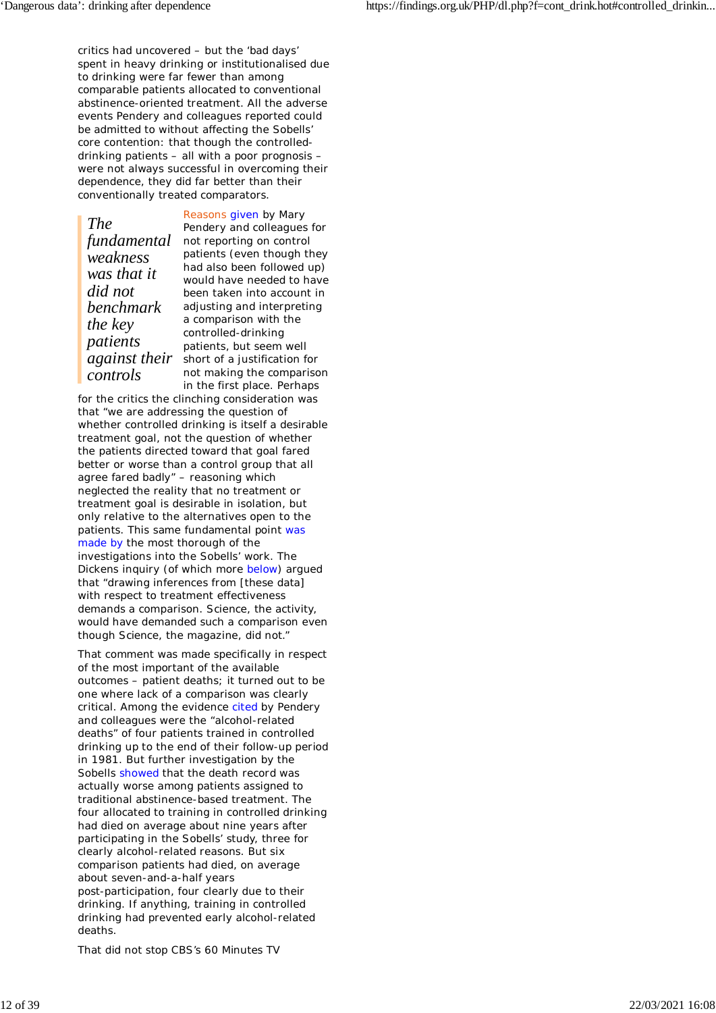critics had uncovered – but the 'bad days' spent in heavy drinking or institutionalised due to drinking were far fewer than among comparable patients allocated to conventional abstinence-oriented treatment. All the adverse events Pendery and colleagues reported could be admitted to without affecting the Sobells' core contention: that though the controlleddrinking patients – all with a poor prognosis – were not always successful in overcoming their dependence, they did far better than their conventionally treated comparators.

*The fundamental weakness was that it did not benchmark the key patients controls*

*against their* short of a justification for Reasons given by Mary Pendery and colleagues for not reporting on control patients (even though they had also been followed up) would have needed to have been taken into account in adjusting and interpreting a comparison with the controlled-drinking patients, but seem well not making the comparison in the first place. Perhaps

for the critics the clinching consideration was that "we are addressing the question of whether controlled drinking is itself a desirable treatment goal, not the question of whether the patients directed toward that goal fared better or worse than a control group that all agree fared badly" – reasoning which neglected the reality that no treatment or treatment goal is desirable in isolation, but only relative to the alternatives open to the patients. This same fundamental point was made by the most thorough of the investigations into the Sobells' work. The Dickens inquiry (of which more below) argued that "drawing inferences from [these data] with respect to treatment effectiveness demands a comparison. Science, the activity, would have demanded such a comparison even though *Science*, the magazine, did not."

That comment was made specifically in respect of the most important of the available outcomes – patient deaths; it turned out to be one where lack of a comparison was clearly critical. Among the evidence cited by Pendery and colleagues were the "alcohol-related deaths" of four patients trained in controlled drinking up to the end of their follow-up period in 1981. But further investigation by the Sobells showed that the death record was actually worse among patients assigned to traditional abstinence-based treatment. The four allocated to training in controlled drinking had died on average about nine years after participating in the Sobells' study, three for clearly alcohol-related reasons. But six comparison patients had died, on average about seven-and-a-half years post-participation, four clearly due to their drinking. If anything, training in controlled drinking had prevented early alcohol-related deaths.

That did not stop CBS's *60 Minutes* TV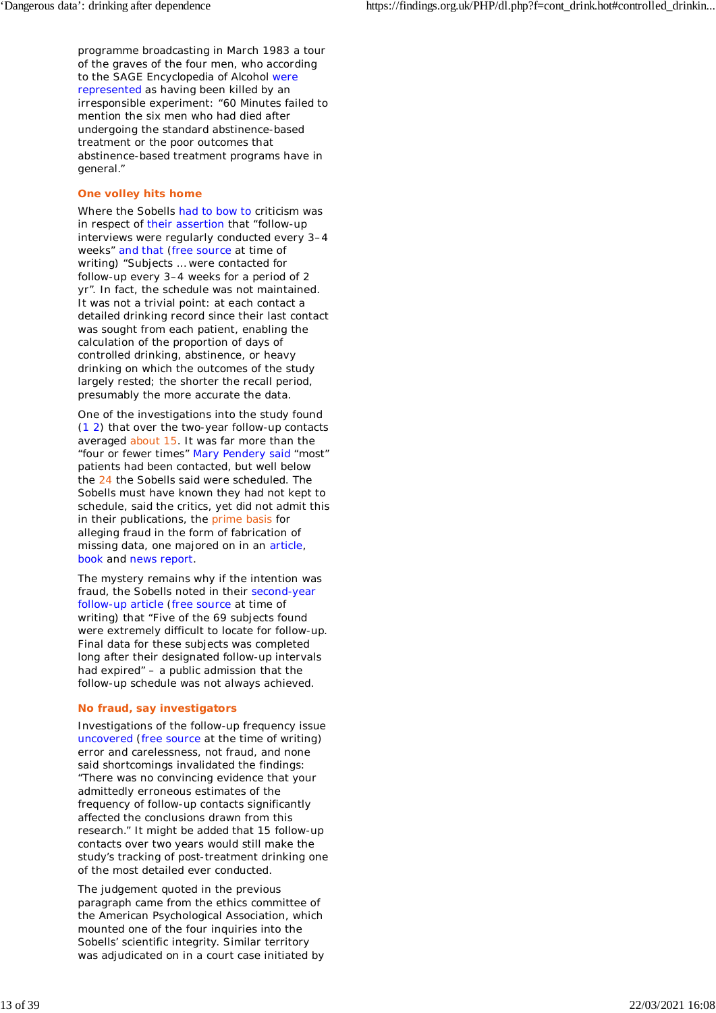programme broadcasting in March 1983 a tour of the graves of the four men, who according to the *SAGE Encyclopedia of Alcohol* were represented as having been killed by an irresponsible experiment: "*60 Minutes* failed to mention the six men who had died after undergoing the standard abstinence-based treatment or the poor outcomes that abstinence-based treatment programs have in general."

### **One volley hits home**

Where the Sobells had to bow to criticism was in respect of their assertion that "follow-up interviews were regularly conducted every 3–4 weeks" and that (free source at time of writing) "Subjects … were contacted for follow-up every 3–4 weeks for a period of 2 yr". In fact, the schedule was not maintained. It was not a trivial point: at each contact a detailed drinking record since their last contact was sought from each patient, enabling the calculation of the proportion of days of controlled drinking, abstinence, or heavy drinking on which the outcomes of the study largely rested; the shorter the recall period, presumably the more accurate the data.

One of the investigations into the study found (1 2) that over the two-year follow-up contacts averaged about 15. It was far more than the "four or fewer times" Mary Pendery said "most" patients had been contacted, but well below the 24 the Sobells said were scheduled. The Sobells must have known they had not kept to schedule, said the critics, yet did not admit this in their publications, the prime basis for alleging fraud in the form of fabrication of missing data, one majored on in an article, book and news report.

The mystery remains why if the intention was fraud, the Sobells noted in their second-year follow-up article (free source at time of writing) that "Five of the 69 subjects found were extremely difficult to locate for follow-up. Final data for these subjects was completed long after their designated follow-up intervals had expired" – a public admission that the follow-up schedule was not always achieved.

### **No fraud, say investigators**

Investigations of the follow-up frequency issue uncovered (free source at the time of writing) error and carelessness, not fraud, and none said shortcomings invalidated the findings: "There was no convincing evidence that your admittedly erroneous estimates of the frequency of follow-up contacts significantly affected the conclusions drawn from this research." It might be added that 15 follow-up contacts over two years would still make the study's tracking of post-treatment drinking one of the most detailed ever conducted.

The judgement quoted in the previous paragraph came from the ethics committee of the American Psychological Association, which mounted one of the four inquiries into the Sobells' scientific integrity. Similar territory was adjudicated on in a court case initiated by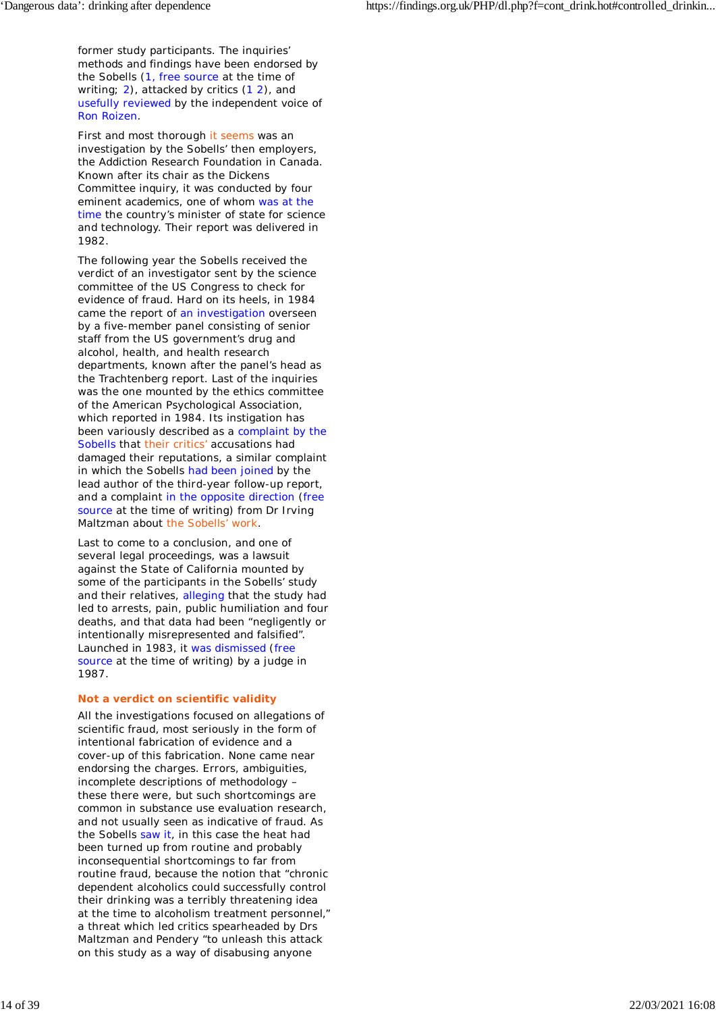former study participants. The inquiries' methods and findings have been endorsed by the Sobells (1, free source at the time of writing; 2), attacked by critics (12), and usefully reviewed by the independent voice of Ron Roizen.

First and most thorough it seems was an investigation by the Sobells' then employers, the Addiction Research Foundation in Canada. Known after its chair as the Dickens Committee inquiry, it was conducted by four eminent academics, one of whom was at the time the country's minister of state for science and technology. Their report was delivered in 1982.

The following year the Sobells received the verdict of an investigator sent by the science committee of the US Congress to check for evidence of fraud. Hard on its heels, in 1984 came the report of an investigation overseen by a five-member panel consisting of senior staff from the US government's drug and alcohol, health, and health research departments, known after the panel's head as the Trachtenberg report. Last of the inquiries was the one mounted by the ethics committee of the American Psychological Association, which reported in 1984. Its instigation has been variously described as a complaint by the Sobells that their critics' accusations had damaged their reputations, a similar complaint in which the Sobells had been joined by the lead author of the third-year follow-up report, and a complaint in the opposite direction (free source at the time of writing) from Dr Irving Maltzman about the Sobells' work.

Last to come to a conclusion, and one of several legal proceedings, was a lawsuit against the State of California mounted by some of the participants in the Sobells' study and their relatives, alleging that the study had led to arrests, pain, public humiliation and four deaths, and that data had been "negligently or intentionally misrepresented and falsified". Launched in 1983, it was dismissed (free source at the time of writing) by a judge in 1987.

### **Not a verdict on scientific validity**

All the investigations focused on allegations of scientific fraud, most seriously in the form of intentional fabrication of evidence and a cover-up of this fabrication. None came near endorsing the charges. Errors, ambiguities, incomplete descriptions of methodology – these there were, but such shortcomings are common in substance use evaluation research, and not usually seen as indicative of fraud. As the Sobells saw it, in this case the heat had been turned up from routine and probably inconsequential shortcomings to far from routine fraud, because the notion that "chronic dependent alcoholics could successfully control their drinking was a terribly threatening idea at the time to alcoholism treatment personnel," a threat which led critics spearheaded by Drs Maltzman and Pendery "to unleash this attack on this study as a way of disabusing anyone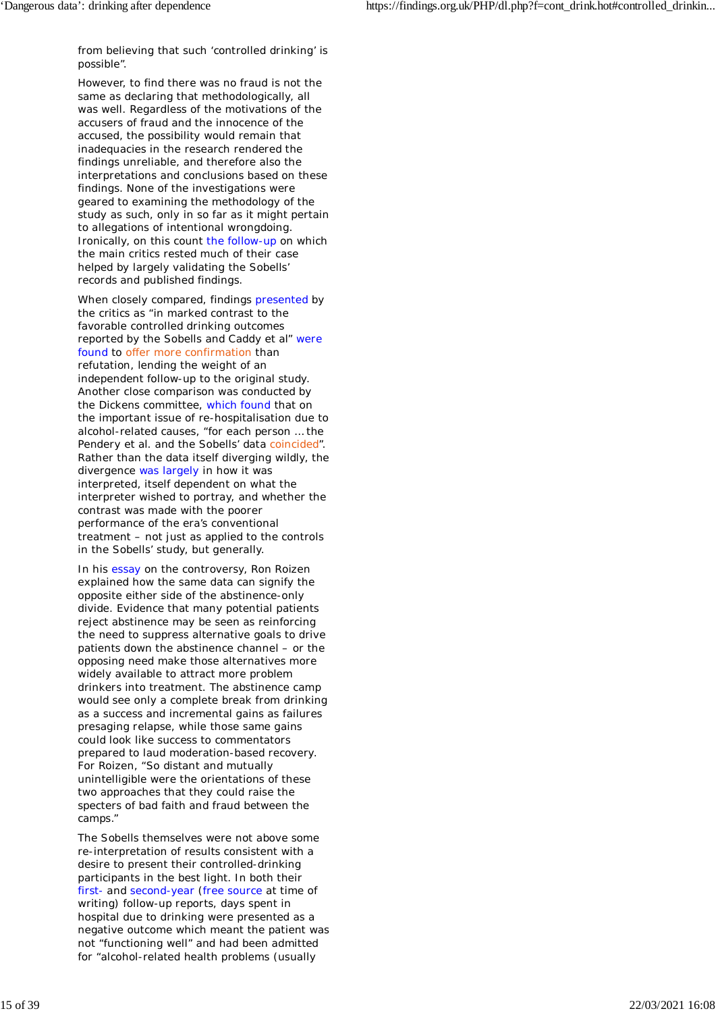from believing that such 'controlled drinking' is possible".

However, to find there was no fraud is not the same as declaring that methodologically, all was well. Regardless of the motivations of the accusers of fraud and the innocence of the accused, the possibility would remain that inadequacies in the research rendered the findings unreliable, and therefore also the interpretations and conclusions based on these findings. None of the investigations were geared to examining the methodology of the study as such, only in so far as it might pertain to allegations of intentional wrongdoing. Ironically, on this count the follow-up on which the main critics rested much of their case helped by largely validating the Sobells' records and published findings.

When closely compared, findings presented by the critics as "in marked contrast to the favorable controlled drinking outcomes reported by the Sobells and Caddy *et al*" were found to offer more confirmation than refutation, lending the weight of an independent follow-up to the original study. Another close comparison was conducted by the Dickens committee, which found that on the important issue of re-hospitalisation due to alcohol-related causes, "for each person … the Pendery et al. and the Sobells' data coincided". Rather than the data itself diverging wildly, the divergence was largely in how it was interpreted, itself dependent on what the interpreter wished to portray, and whether the contrast was made with the poorer performance of the era's conventional treatment – not just as applied to the controls in the Sobells' study, but generally.

In his essay on the controversy, Ron Roizen explained how the same data can signify the opposite either side of the abstinence-only divide. Evidence that many potential patients reject abstinence may be seen as reinforcing the need to suppress alternative goals to drive patients down the abstinence channel – or the opposing need make those alternatives more widely available to attract more problem drinkers into treatment. The abstinence camp would see only a complete break from drinking as a success and incremental gains as failures presaging relapse, while those same gains could look like success to commentators prepared to laud moderation-based recovery. For Roizen, "So distant and mutually unintelligible were the orientations of these two approaches that they could raise the specters of bad faith and fraud between the camps."

The Sobells themselves were not above some re-interpretation of results consistent with a desire to present their controlled-drinking participants in the best light. In both their first- and second-year (free source at time of writing) follow-up reports, days spent in hospital due to drinking were presented as a negative outcome which meant the patient was not "functioning well" and had been admitted for "alcohol-related health problems (usually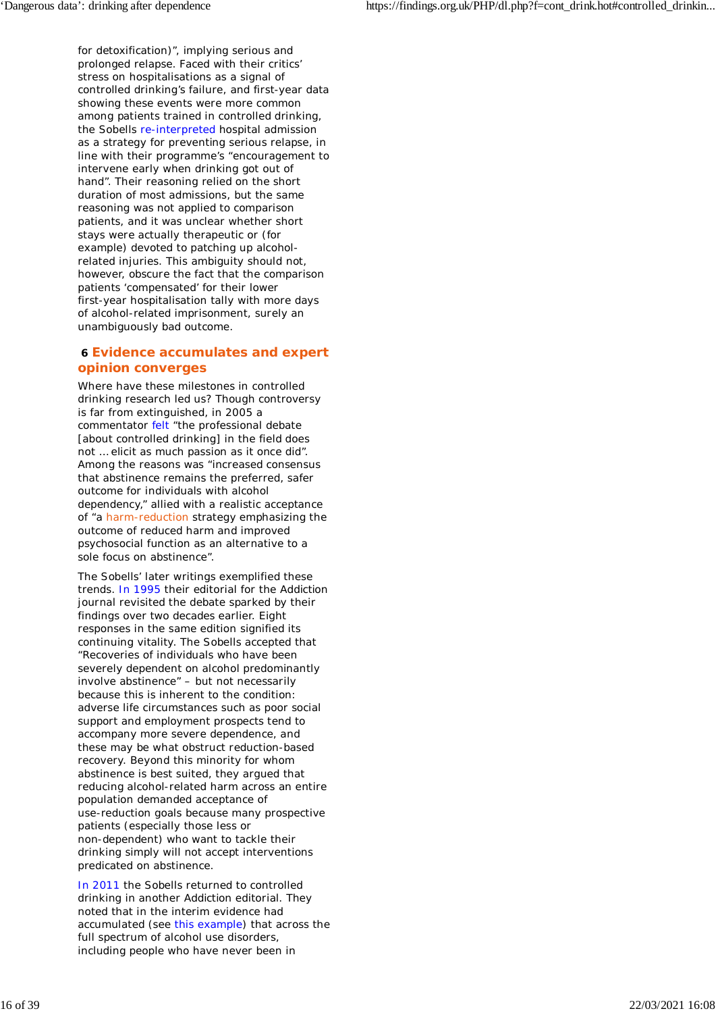for detoxification)", implying serious and prolonged relapse. Faced with their critics' stress on hospitalisations as a signal of controlled drinking's failure, and first-year data showing these events were more common among patients trained in controlled drinking, the Sobells re-interpreted hospital admission as a strategy for *preventing* serious relapse, in line with their programme's "encouragement to intervene early when drinking got out of hand". Their reasoning relied on the short duration of most admissions, but the same reasoning was not applied to comparison patients, and it was unclear whether short stays *were* actually therapeutic or (for example) devoted to patching up alcoholrelated injuries. This ambiguity should not, however, obscure the fact that the comparison patients 'compensated' for their lower first-year hospitalisation tally with more days of alcohol-related imprisonment, surely an *un*ambiguously bad outcome.

### **6 Evidence accumulates and expert opinion converges**

Where have these milestones in controlled drinking research led us? Though controversy is far from extinguished, in 2005 a commentator felt "the professional debate [about controlled drinking] in the field does not … elicit as much passion as it once did". Among the reasons was "increased consensus that abstinence remains the preferred, safer outcome for individuals with alcohol dependency," allied with a realistic acceptance of "a harm-reduction strategy emphasizing the outcome of reduced harm and improved psychosocial function as an alternative to a sole focus on abstinence".

The Sobells' later writings exemplified these trends. In 1995 their editorial for the *Addiction* journal revisited the debate sparked by their findings over two decades earlier. Eight responses in the same edition signified its continuing vitality. The Sobells accepted that "Recoveries of individuals who have been severely dependent on alcohol predominantly involve abstinence" – but not necessarily because this is inherent to the condition: adverse life circumstances such as poor social support and employment prospects tend to accompany more severe dependence, and these may be what obstruct reduction-based recovery. Beyond this minority for whom abstinence is best suited, they argued that reducing alcohol-related harm across an entire population demanded acceptance of use-reduction goals because many prospective patients (especially those less or non-dependent) who want to tackle their drinking simply will not accept interventions predicated on abstinence.

In 2011 the Sobells returned to controlled drinking in another *Addiction* editorial. They noted that in the interim evidence had accumulated (see this example) that across the full spectrum of alcohol use disorders, including people who have never been in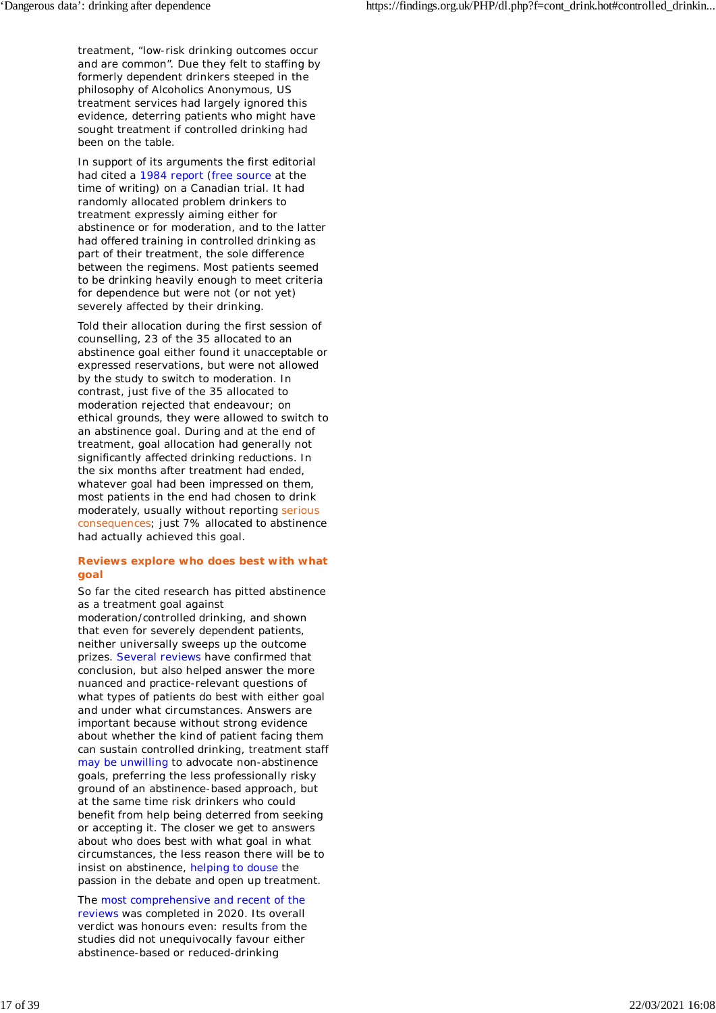treatment, "low-risk drinking outcomes occur and are common". Due they felt to staffing by formerly dependent drinkers steeped in the philosophy of Alcoholics Anonymous, US treatment services had largely ignored this evidence, deterring patients who might have sought treatment if controlled drinking had been on the table.

In support of its arguments the first editorial had cited a 1984 report (free source at the time of writing) on a Canadian trial. It had randomly allocated problem drinkers to treatment expressly aiming either for abstinence or for moderation, and to the latter had offered training in controlled drinking as part of their treatment, the sole difference between the regimens. Most patients seemed to be drinking heavily enough to meet criteria for dependence but were not (or not yet) severely affected by their drinking.

Told their allocation during the first session of counselling, 23 of the 35 allocated to an abstinence goal either found it unacceptable or expressed reservations, but were not allowed by the study to switch to moderation. In contrast, just five of the 35 allocated to moderation rejected that endeavour; on ethical grounds, they were allowed to switch to an abstinence goal. During and at the end of treatment, goal allocation had generally not significantly affected drinking reductions. In the six months after treatment had ended, whatever goal had been impressed on them, most patients in the end had chosen to drink moderately, usually without reporting serious consequences; just 7% allocated to abstinence had actually achieved this goal.

### **Reviews explore who does best with what goal**

So far the cited research has pitted abstinence as a treatment goal against

moderation/controlled drinking, and shown that even for severely dependent patients, neither universally sweeps up the outcome prizes. Several reviews have confirmed that conclusion, but also helped answer the more nuanced and practice-relevant questions of what types of patients do best with either goal and under what circumstances. Answers are important because without strong evidence about whether the kind of patient facing them can sustain controlled drinking, treatment staff may be unwilling to advocate non-abstinence goals, preferring the less professionally risky ground of an abstinence-based approach, but at the same time risk drinkers who could benefit from help being deterred from seeking or accepting it. The closer we get to answers about who does best with what goal in what circumstances, the less reason there will be to insist on abstinence, helping to douse the passion in the debate and open up treatment.

The most comprehensive and recent of the reviews was completed in 2020. Its overall verdict was honours even: results from the studies did not unequivocally favour either abstinence-based or reduced-drinking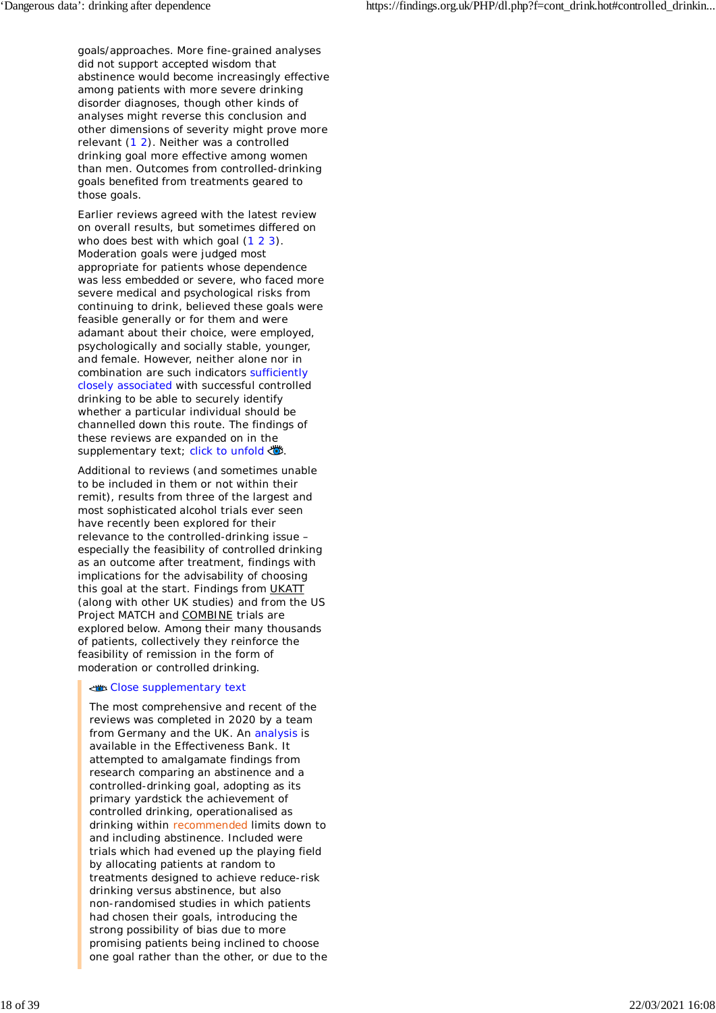goals/approaches. More fine-grained analyses did not support accepted wisdom that abstinence would become increasingly effective among patients with more severe drinking disorder diagnoses, though other kinds of analyses might reverse this conclusion and other dimensions of severity might prove more relevant (1 2). Neither was a controlled drinking goal more effective among women than men. Outcomes from controlled-drinking goals benefited from treatments geared to those goals.

Earlier reviews agreed with the latest review on overall results, but sometimes differed on who does best with which goal (1 2 3). Moderation goals were judged most appropriate for patients whose dependence was less embedded or severe, who faced more severe medical and psychological risks from continuing to drink, believed these goals were feasible generally or for them and were adamant about their choice, were employed, psychologically and socially stable, younger, and female. However, neither alone nor in combination are such indicators sufficiently closely associated with successful controlled drinking to be able to securely identify whether a particular individual should be channelled down this route. The findings of these reviews are expanded on in the supplementary text; click to unfold .

Additional to reviews (and sometimes unable to be included in them or not within their remit), results from three of the largest and most sophisticated alcohol trials ever seen have recently been explored for their relevance to the controlled-drinking issue – especially the feasibility of controlled drinking as an outcome after treatment, findings with implications for the advisability of choosing this goal at the start. Findings from UKATT (along with other UK studies) and from the US Project MATCH and COMBINE trials are explored below. Among their many thousands of patients, collectively they reinforce the feasibility of remission in the form of moderation or controlled drinking.

#### Close supplementary text

The most comprehensive and recent of the reviews was completed in 2020 by a team from Germany and the UK. An analysis is available in the Effectiveness Bank. It attempted to amalgamate findings from research comparing an abstinence and a controlled-drinking goal, adopting as its primary yardstick the achievement of controlled drinking, operationalised as drinking within recommended limits down to and including abstinence. Included were trials which had evened up the playing field by allocating patients at random to treatments designed to achieve reduce-risk drinking versus abstinence, but also non-randomised studies in which patients had chosen their goals, introducing the strong possibility of bias due to more promising patients being inclined to choose one goal rather than the other, or due to the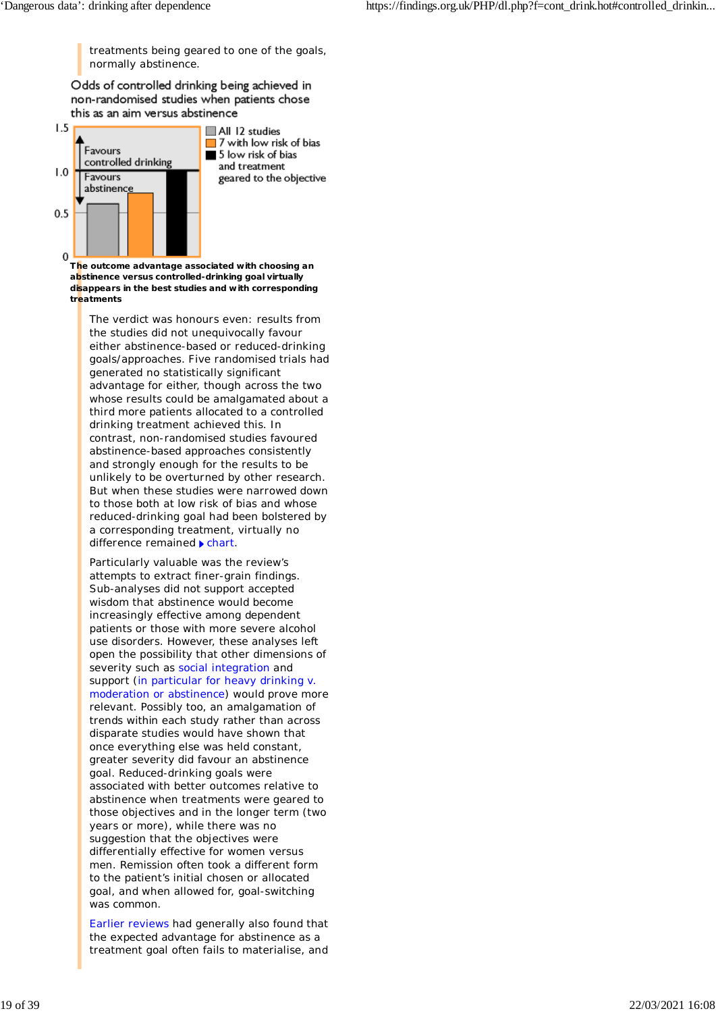treatments being geared to one of the goals, normally abstinence.

Odds of controlled drinking being achieved in non-randomised studies when patients chose this as an aim versus abstinence



**The outcome advantage associated with choosing an abstinence versus controlled-drinking goal virtually disappears in the best studies and with corresponding treatments**

The verdict was honours even: results from the studies did not unequivocally favour either abstinence-based or reduced-drinking goals/approaches. Five randomised trials had generated no statistically significant advantage for either, though across the two whose results could be amalgamated about a third more patients allocated to a controlled drinking treatment achieved this. In contrast, non-randomised studies favoured abstinence-based approaches consistently and strongly enough for the results to be unlikely to be overturned by other research. But when these studies were narrowed down to those both at low risk of bias and whose reduced-drinking goal had been bolstered by a corresponding treatment, virtually no difference remained  $\blacktriangleright$  chart.

Particularly valuable was the review's attempts to extract finer-grain findings. Sub-analyses did not support accepted wisdom that abstinence would become increasingly effective among dependent patients or those with more severe alcohol use disorders. However, these analyses left open the possibility that other dimensions of severity such as social integration and support (in particular for heavy drinking v. moderation or abstinence) would prove more relevant. Possibly too, an amalgamation of trends *within* each study rather than across disparate studies would have shown that once everything else was held constant, greater severity did favour an abstinence goal. Reduced-drinking goals were associated with better outcomes relative to abstinence when treatments were geared to those objectives and in the longer term (two years or more), while there was no suggestion that the objectives were differentially effective for women versus men. Remission often took a different form to the patient's initial chosen or allocated goal, and when allowed for, goal-switching was common.

Earlier reviews had generally also found that the expected advantage for abstinence as a treatment goal often fails to materialise, and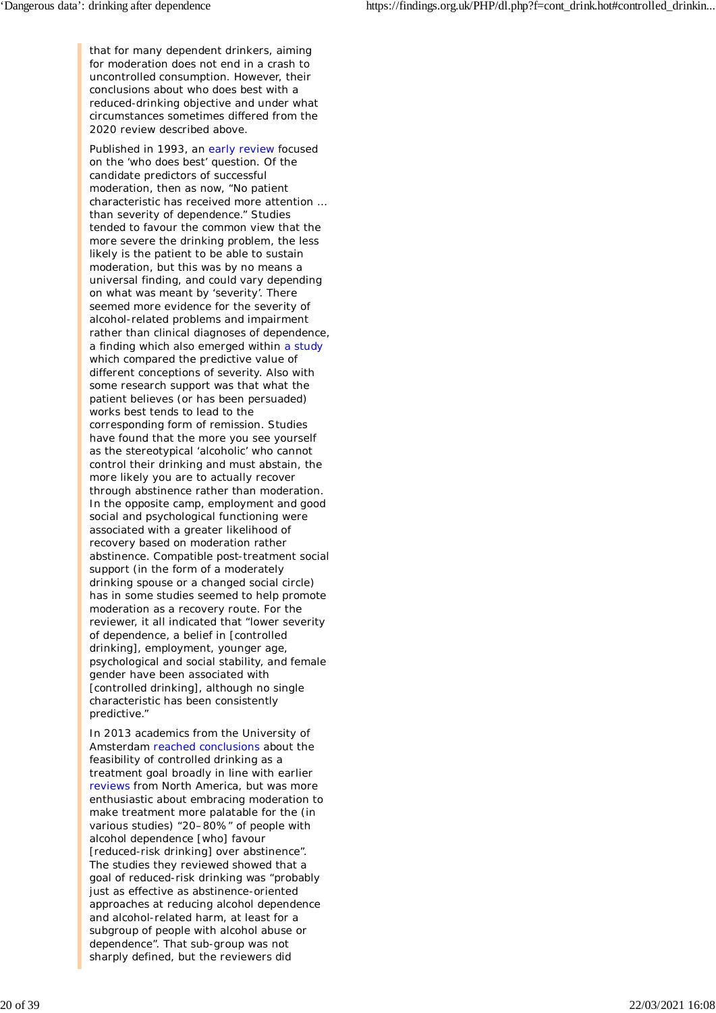that for many dependent drinkers, aiming for moderation does not end in a crash to uncontrolled consumption. However, their conclusions about who does best with a reduced-drinking objective and under what circumstances sometimes differed from the 2020 review described above.

Published in 1993, an early review focused on the 'who does best' question. Of the candidate predictors of successful moderation, then as now, "No patient characteristic has received more attention … than severity of dependence." Studies tended to favour the common view that the more severe the drinking problem, the less likely is the patient to be able to sustain moderation, but this was by no means a universal finding, and could vary depending on what was meant by 'severity'. There seemed more evidence for the severity of alcohol-related problems and impairment rather than clinical diagnoses of dependence, a finding which also emerged within a study which compared the predictive value of different conceptions of severity. Also with some research support was that what the patient believes (or has been persuaded) works best tends to lead to the corresponding form of remission. Studies have found that the more you see yourself as the stereotypical 'alcoholic' who cannot control their drinking and must abstain, the more likely you are to actually recover through abstinence rather than moderation. In the opposite camp, employment and good social and psychological functioning were associated with a greater likelihood of recovery based on moderation rather abstinence. Compatible post-treatment social support (in the form of a moderately drinking spouse or a changed social circle) has in some studies seemed to help promote moderation as a recovery route. For the reviewer, it all indicated that "lower severity of dependence, a belief in [controlled drinking], employment, younger age, psychological and social stability, and female gender have been associated with [controlled drinking], although no single characteristic has been consistently predictive."

In 2013 academics from the University of Amsterdam reached conclusions about the feasibility of controlled drinking as a treatment goal broadly in line with earlier reviews from North America, but was more enthusiastic about embracing moderation to make treatment more palatable for the (in various studies) "20–80%" of people with alcohol dependence [who] favour [reduced-risk drinking] over abstinence". The studies they reviewed showed that a goal of reduced-risk drinking was "probably just as effective as abstinence-oriented approaches at reducing alcohol dependence and alcohol-related harm, at least for a subgroup of people with alcohol abuse or dependence". That sub-group was not sharply defined, but the reviewers did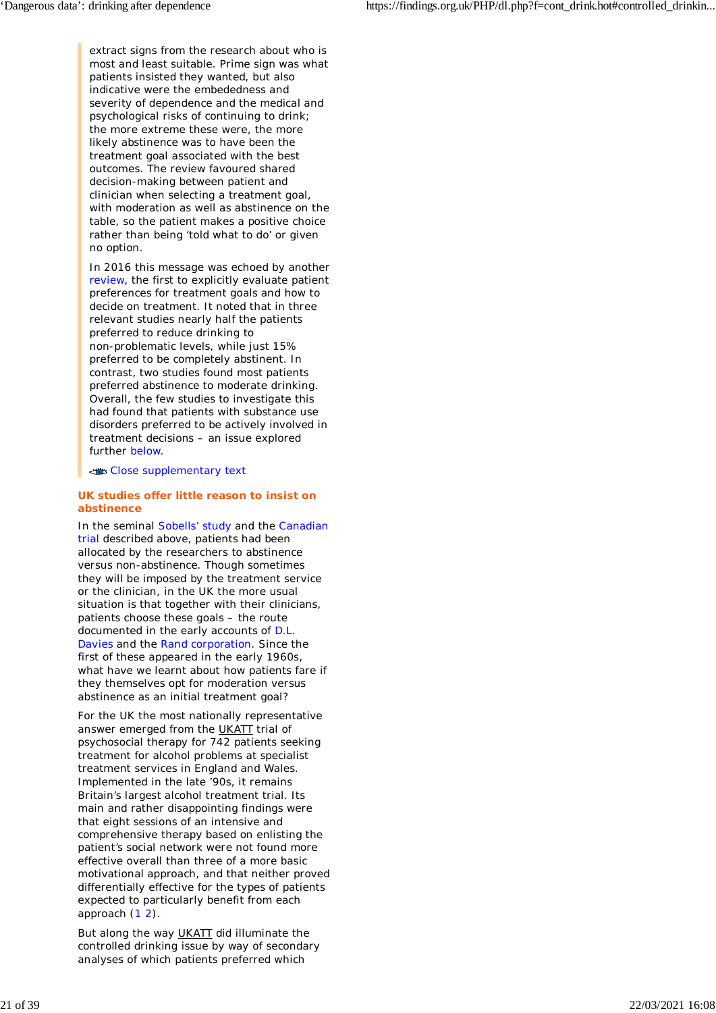extract signs from the research about who is most and least suitable. Prime sign was what patients insisted they wanted, but also indicative were the embededness and severity of dependence and the medical and psychological risks of continuing to drink; the more extreme these were, the more likely abstinence was to have been the treatment goal associated with the best outcomes. The review favoured shared decision-making between patient and clinician when selecting a treatment goal, with moderation as well as abstinence on the table, so the patient makes a positive choice rather than being 'told what to do' or given no option.

In 2016 this message was echoed by another review, the first to explicitly evaluate patient preferences for treatment goals and how to decide on treatment. It noted that in three relevant studies nearly half the patients preferred to reduce drinking to non-problematic levels, while just 15% preferred to be completely abstinent. In contrast, two studies found most patients preferred abstinence to moderate drinking. Overall, the few studies to investigate this had found that patients with substance use disorders preferred to be actively involved in treatment decisions – an issue explored further below.

#### Close supplementary text

### **UK studies offer little reason to insist on abstinence**

In the seminal Sobells' study and the Canadian trial described above, patients had been allocated by the researchers to abstinence versus non-abstinence. Though sometimes they will be imposed by the treatment service or the clinician, in the UK the more usual situation is that together with their clinicians, patients choose these goals – the route documented in the early accounts of D.L. Davies and the Rand corporation. Since the first of these appeared in the early 1960s, what have we learnt about how patients fare if they themselves opt for moderation versus abstinence as an initial treatment goal?

For the UK the most nationally representative answer emerged from the UKATT trial of psychosocial therapy for 742 patients seeking treatment for alcohol problems at specialist treatment services in England and Wales. Implemented in the late '90s, it remains Britain's largest alcohol treatment trial. Its main and rather disappointing findings were that eight sessions of an intensive and comprehensive therapy based on enlisting the patient's social network were not found more effective overall than three of a more basic motivational approach, and that neither proved differentially effective for the types of patients expected to particularly benefit from each approach (1 2).

But along the way UKATT did illuminate the controlled drinking issue by way of secondary analyses of which patients preferred which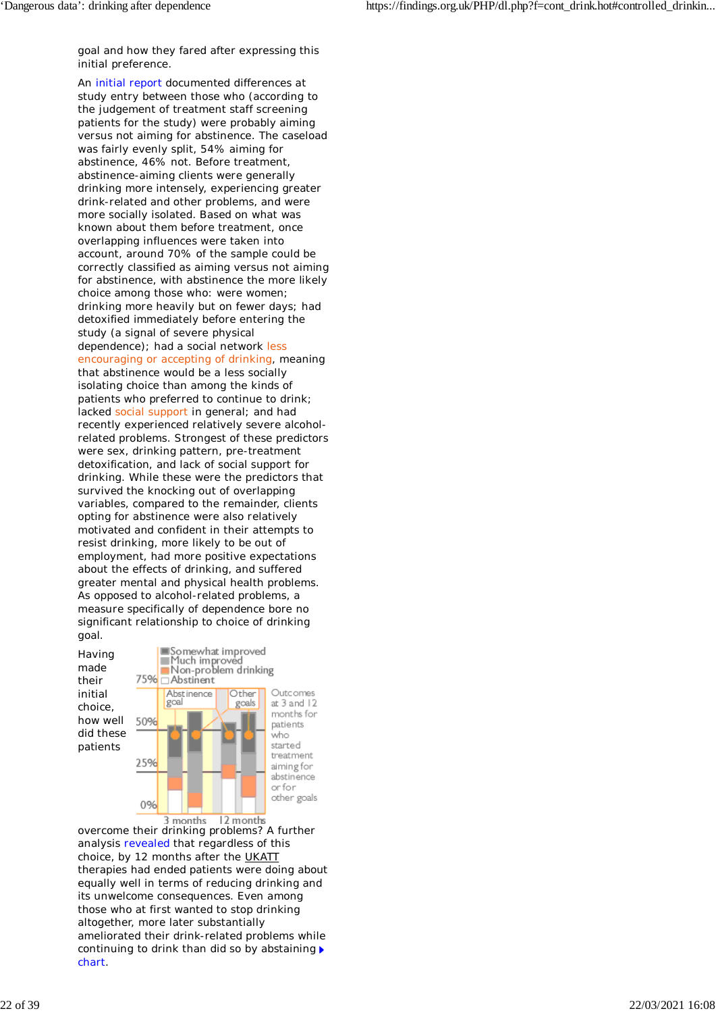goal and how they fared after expressing this initial preference.

An initial report documented differences at study entry between those who (according to the judgement of treatment staff screening patients for the study) were probably aiming versus not aiming for abstinence. The caseload was fairly evenly split, 54% aiming for abstinence, 46% not. Before treatment, abstinence-aiming clients were generally drinking more intensely, experiencing greater drink-related and other problems, and were more socially isolated. Based on what was known about them before treatment, once overlapping influences were taken into account, around 70% of the sample could be correctly classified as aiming versus not aiming for abstinence, with abstinence the more likely choice among those who: were women; drinking more heavily but on fewer days; had detoxified immediately before entering the study (a signal of severe physical dependence); had a social network less encouraging or accepting of drinking, meaning that abstinence would be a less socially isolating choice than among the kinds of patients who preferred to continue to drink; lacked social support in general; and had recently experienced relatively severe alcoholrelated problems. Strongest of these predictors were sex, drinking pattern, pre-treatment detoxification, and lack of social support for drinking. While these were the predictors that survived the knocking out of overlapping variables, compared to the remainder, clients opting for abstinence were also relatively motivated and confident in their attempts to resist drinking, more likely to be out of employment, had more positive expectations about the effects of drinking, and suffered greater mental and physical health problems. As opposed to alcohol-related problems, a measure specifically of dependence bore no significant relationship to choice of drinking goal.



overcome their drinking problems? A further analysis revealed that regardless of this choice, by 12 months after the UKATT therapies had ended patients were doing about equally well in terms of reducing drinking and its unwelcome consequences. Even among those who at first wanted to stop drinking altogether, more later substantially ameliorated their drink-related problems while continuing to drink than did so by abstaining chart.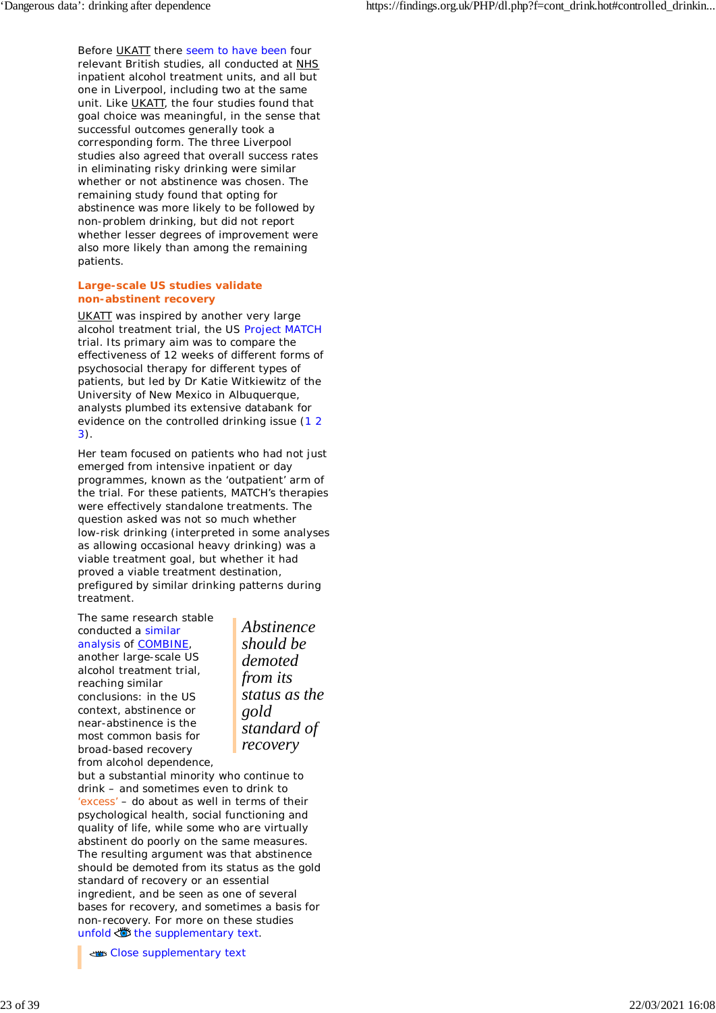Before UKATT there seem to have been four relevant British studies, all conducted at NHS inpatient alcohol treatment units, and all but one in Liverpool, including two at the same unit. Like UKATT, the four studies found that goal choice was meaningful, in the sense that successful outcomes generally took a corresponding form. The three Liverpool studies also agreed that overall success rates in eliminating risky drinking were similar whether or not abstinence was chosen. The remaining study found that opting for abstinence was more likely to be followed by non-problem drinking, but did not report whether lesser degrees of improvement were also more likely than among the remaining patients.

### **Large-scale US studies validate non-abstinent recovery**

UKATT was inspired by another very large alcohol treatment trial, the US Project MATCH trial. Its primary aim was to compare the effectiveness of 12 weeks of different forms of psychosocial therapy for different types of patients, but led by Dr Katie Witkiewitz of the University of New Mexico in Albuquerque, analysts plumbed its extensive databank for evidence on the controlled drinking issue (1 2 3).

Her team focused on patients who had not just emerged from intensive inpatient or day programmes, known as the 'outpatient' arm of the trial. For these patients, MATCH's therapies were effectively standalone treatments. The question asked was not so much whether low-risk drinking (interpreted in some analyses as allowing occasional heavy drinking) was a viable treatment goal, but whether it had proved a viable treatment destination, prefigured by similar drinking patterns during treatment.

The same research stable conducted a similar analysis of COMBINE, another large-scale US alcohol treatment trial, reaching similar conclusions: in the US context, abstinence or near-abstinence is the most common basis for broad-based recovery from alcohol dependence,

*Abstinence should be demoted from its status as the gold standard of recovery*

but a substantial minority who continue to drink – and sometimes even to drink to 'excess' – do about as well in terms of their psychological health, social functioning and quality of life, while some who are virtually abstinent do poorly on the same measures. The resulting argument was that abstinence should be demoted from its status as the gold standard of recovery or an essential ingredient, and be seen as one of several bases for recovery, and sometimes a basis for non-recovery. For more on these studies unfold  $\bullet$  the supplementary text.

Close supplementary text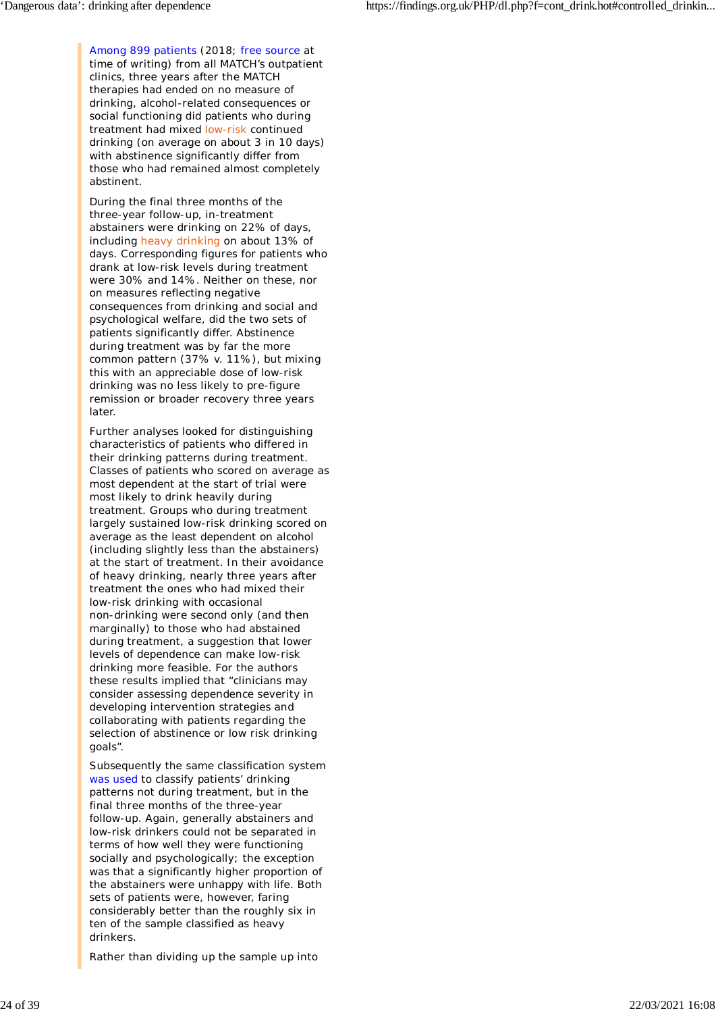Among 899 patients (2018; free source at time of writing) from all MATCH's outpatient clinics, three years after the MATCH therapies had ended on no measure of drinking, alcohol-related consequences or social functioning did patients who during treatment had mixed low-risk continued drinking (on average on about 3 in 10 days) with abstinence significantly differ from those who had remained almost completely abstinent.

During the final three months of the three-year follow-up, in-treatment abstainers were drinking on 22% of days, including heavy drinking on about 13% of days. Corresponding figures for patients who drank at low-risk levels during treatment were 30% and 14%. Neither on these, nor on measures reflecting negative consequences from drinking and social and psychological welfare, did the two sets of patients significantly differ. Abstinence during treatment was by far the more common pattern (37% v. 11%), but mixing this with an appreciable dose of low-risk drinking was no less likely to pre-figure remission or broader recovery three years later.

Further analyses looked for distinguishing characteristics of patients who differed in their drinking patterns during treatment. Classes of patients who scored on average as most dependent at the start of trial were most likely to drink heavily during treatment. Groups who during treatment largely sustained low-risk drinking scored on average as the least dependent on alcohol (including slightly less than the abstainers) at the start of treatment. In their avoidance of heavy drinking, nearly three years after treatment the ones who had mixed their low-risk drinking with occasional non-drinking were second only (and then marginally) to those who had abstained during treatment, a suggestion that lower levels of dependence can make low-risk drinking more feasible. For the authors these results implied that "clinicians may consider assessing dependence severity in developing intervention strategies and collaborating with patients regarding the selection of abstinence or low risk drinking goals".

Subsequently the same classification system was used to classify patients' drinking patterns not during treatment, but in the final three months of the three-year follow-up. Again, generally abstainers and low-risk drinkers could not be separated in terms of how well they were functioning socially and psychologically; the exception was that a significantly higher proportion of the abstainers were unhappy with life. Both sets of patients were, however, faring considerably better than the roughly six in ten of the sample classified as heavy drinkers.

Rather than dividing up the sample up into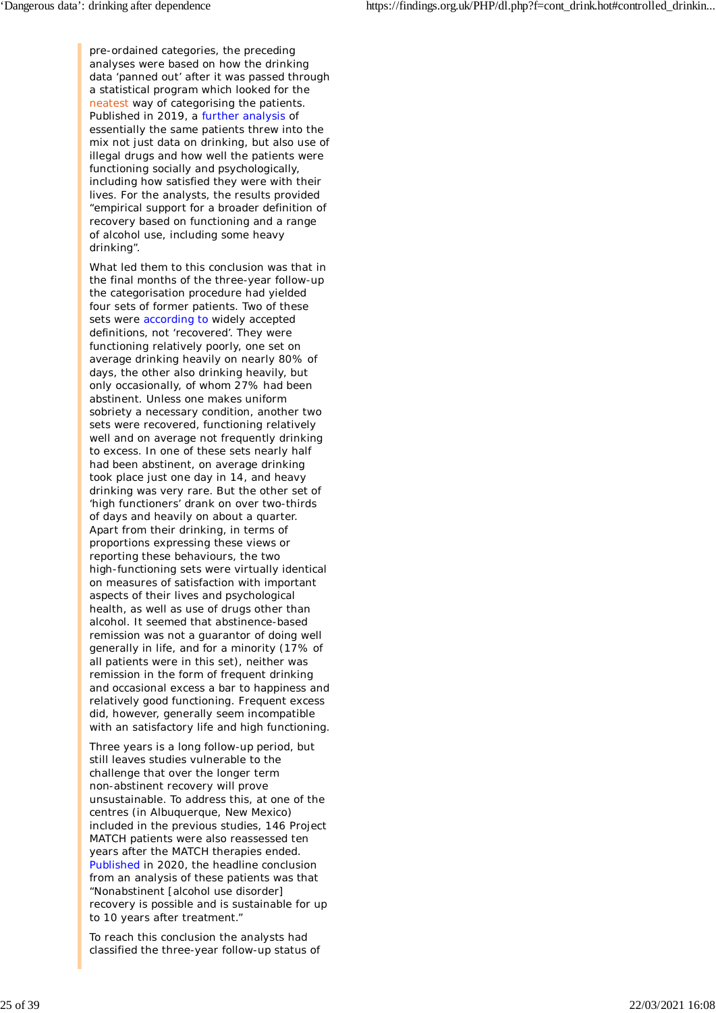pre-ordained categories, the preceding analyses were based on how the drinking data 'panned out' after it was passed through a statistical program which looked for the neatest way of categorising the patients. Published in 2019, a further analysis of essentially the same patients threw into the mix not just data on drinking, but also use of illegal drugs and how well the patients were functioning socially and psychologically, including how satisfied they were with their lives. For the analysts, the results provided "empirical support for a broader definition of recovery based on functioning and a range of alcohol use, including some heavy drinking".

What led them to this conclusion was that in the final months of the three-year follow-up the categorisation procedure had yielded four sets of former patients. Two of these sets were according to widely accepted definitions, not 'recovered'. They were functioning relatively poorly, one set on average drinking heavily on nearly 80% of days, the other also drinking heavily, but only occasionally, of whom 27% had been abstinent. Unless one makes uniform sobriety a necessary condition, another two sets *were* recovered, functioning relatively well and on average not frequently drinking to excess. In one of these sets nearly half had been abstinent, on average drinking took place just one day in 14, and heavy drinking was very rare. But the other set of 'high functioners' drank on over two-thirds of days and heavily on about a quarter. Apart from their drinking, in terms of proportions expressing these views or reporting these behaviours, the two high-functioning sets were virtually identical on measures of satisfaction with important aspects of their lives and psychological health, as well as use of drugs other than alcohol. It seemed that abstinence-based remission was not a guarantor of doing well generally in life, and for a minority (17% of all patients were in this set), neither was remission in the form of frequent drinking and occasional excess a bar to happiness and relatively good functioning. *Frequent* excess did, however, generally seem incompatible with an satisfactory life and high functioning.

Three years is a long follow-up period, but still leaves studies vulnerable to the challenge that over the longer term non-abstinent recovery will prove unsustainable. To address this, at one of the centres (in Albuquerque, New Mexico) included in the previous studies, 146 Project MATCH patients were also reassessed ten years after the MATCH therapies ended. Published in 2020, the headline conclusion from an analysis of these patients was that "Nonabstinent [alcohol use disorder] recovery is possible and is sustainable for up to 10 years after treatment."

To reach this conclusion the analysts had classified the three-year follow-up status of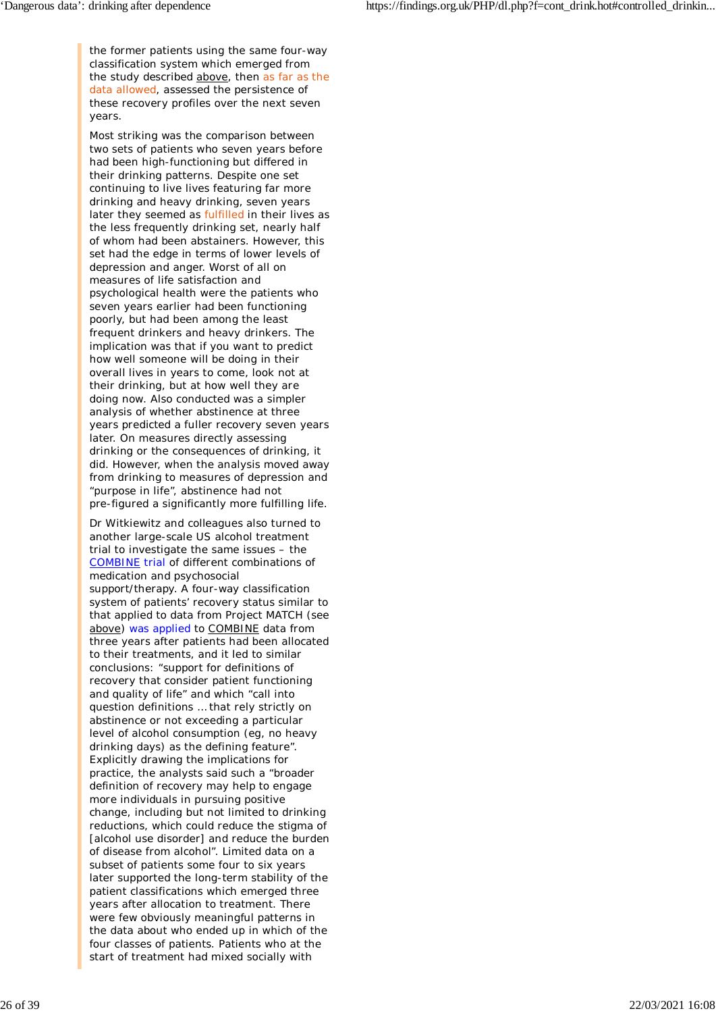the former patients using the same four-way classification system which emerged from the study described above, then as far as the data allowed, assessed the persistence of these recovery profiles over the next seven years.

Most striking was the comparison between two sets of patients who seven years before had been high-functioning but differed in their drinking patterns. Despite one set continuing to live lives featuring far more drinking and heavy drinking, seven years later they seemed as fulfilled in their lives as the less frequently drinking set, nearly half of whom had been abstainers. However, this set had the edge in terms of lower levels of depression and anger. Worst of all on measures of life satisfaction and psychological health were the patients who seven years earlier had been functioning poorly, but had been among the least frequent drinkers and heavy drinkers. The implication was that if you want to predict how well someone will be doing in their overall lives in years to come, look not at their drinking, but at how well they are doing now. Also conducted was a simpler analysis of whether abstinence at three years predicted a fuller recovery seven years later. On measures directly assessing drinking or the consequences of drinking, it did. However, when the analysis moved away from drinking to measures of depression and "purpose in life", abstinence had not pre-figured a significantly more fulfilling life.

Dr Witkiewitz and colleagues also turned to another large-scale US alcohol treatment trial to investigate the same issues – the COMBINE trial of different combinations of medication and psychosocial support/therapy. A four-way classification system of patients' recovery status similar to that applied to data from Project MATCH (see above) was applied to COMBINE data from three years after patients had been allocated to their treatments, and it led to similar conclusions: "support for definitions of recovery that consider patient functioning and quality of life" and which "call into question definitions … that rely strictly on abstinence or not exceeding a particular level of alcohol consumption (eg, no heavy drinking days) as the defining feature". Explicitly drawing the implications for practice, the analysts said such a "broader definition of recovery may help to engage more individuals in pursuing positive change, including but not limited to drinking reductions, which could reduce the stigma of [alcohol use disorder] and reduce the burden of disease from alcohol". Limited data on a subset of patients some four to six years later supported the long-term stability of the patient classifications which emerged three years after allocation to treatment. There were few obviously meaningful patterns in the data about who ended up in which of the four classes of patients. Patients who at the start of treatment had mixed socially with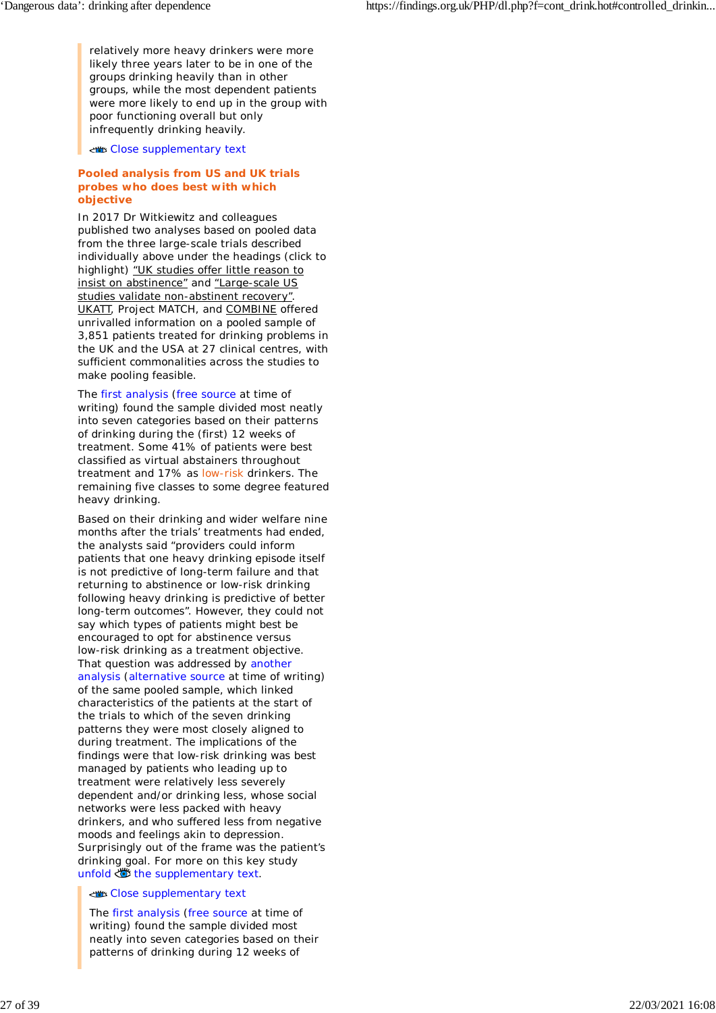relatively more heavy drinkers were more likely three years later to be in one of the groups drinking heavily than in other groups, while the most dependent patients were more likely to end up in the group with poor functioning overall but only infrequently drinking heavily.

Close supplementary text

### **Pooled analysis from US and UK trials probes who does best with which objective**

In 2017 Dr Witkiewitz and colleagues published two analyses based on pooled data from the three large-scale trials described individually above under the headings (click to highlight) "UK studies offer little reason to insist on abstinence" and "Large-scale US studies validate non-abstinent recovery". UKATT, Project MATCH, and COMBINE offered unrivalled information on a pooled sample of 3,851 patients treated for drinking problems in the UK and the USA at 27 clinical centres, with sufficient commonalities across the studies to make pooling feasible.

The first analysis (free source at time of writing) found the sample divided most neatly into seven categories based on their patterns of drinking during the (first) 12 weeks of treatment. Some 41% of patients were best classified as virtual abstainers throughout treatment and 17% as low-risk drinkers. The remaining five classes to some degree featured heavy drinking.

Based on their drinking and wider welfare nine months after the trials' treatments had ended, the analysts said "providers could inform patients that one heavy drinking episode itself is not predictive of long-term failure and that returning to abstinence or low-risk drinking following heavy drinking is predictive of better long-term outcomes". However, they could not say which types of patients might best be encouraged to opt for abstinence versus low-risk drinking as a treatment objective. That question was addressed by another analysis (alternative source at time of writing) of the same pooled sample, which linked characteristics of the patients at the start of the trials to which of the seven drinking patterns they were most closely aligned to during treatment. The implications of the findings were that low-risk drinking was best managed by patients who leading up to treatment were relatively less severely dependent and/or drinking less, whose social networks were less packed with heavy drinkers, and who suffered less from negative moods and feelings akin to depression. Surprisingly out of the frame was the patient's drinking goal. For more on this key study unfold  $\bullet$  the supplementary text.

### Close supplementary text

The first analysis (free source at time of writing) found the sample divided most neatly into seven categories based on their patterns of drinking during 12 weeks of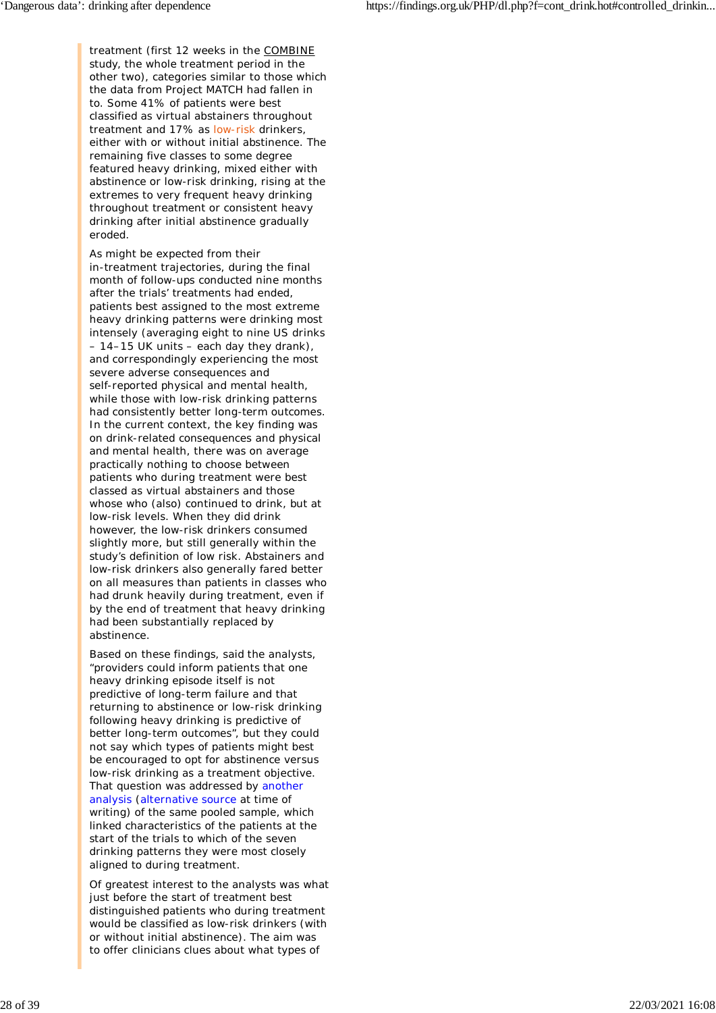treatment (first 12 weeks in the COMBINE study, the whole treatment period in the other two), categories similar to those which the data from Project MATCH had fallen in to. Some 41% of patients were best classified as virtual abstainers throughout treatment and 17% as low-risk drinkers, either with or without initial abstinence. The remaining five classes to some degree featured heavy drinking, mixed either with abstinence or low-risk drinking, rising at the extremes to very frequent heavy drinking throughout treatment or consistent heavy drinking after initial abstinence gradually eroded.

As might be expected from their in-treatment trajectories, during the final month of follow-ups conducted nine months after the trials' treatments had ended, patients best assigned to the most extreme heavy drinking patterns were drinking most intensely (averaging eight to nine US drinks – 14–15 UK units – each day they drank), and correspondingly experiencing the most severe adverse consequences and self-reported physical and mental health, while those with low-risk drinking patterns had consistently better long-term outcomes. In the current context, the key finding was on drink-related consequences and physical and mental health, there was on average practically nothing to choose between patients who during treatment were best classed as virtual abstainers and those whose who (also) continued to drink, but at low-risk levels. When they did drink however, the low-risk drinkers consumed slightly more, but still generally within the study's definition of low risk. Abstainers and low-risk drinkers also generally fared better on all measures than patients in classes who had drunk heavily during treatment, even if by the end of treatment that heavy drinking had been substantially replaced by abstinence.

Based on these findings, said the analysts, "providers could inform patients that one heavy drinking episode itself is not predictive of long-term failure and that returning to abstinence or low-risk drinking following heavy drinking is predictive of better long-term outcomes", but they could not say which types of patients might best be encouraged to opt for abstinence versus low-risk drinking as a treatment objective. That question was addressed by another analysis (alternative source at time of writing) of the same pooled sample, which linked characteristics of the patients at the start of the trials to which of the seven drinking patterns they were most closely aligned to during treatment.

Of greatest interest to the analysts was what just before the start of treatment best distinguished patients who during treatment would be classified as low-risk drinkers (with or without initial abstinence). The aim was to offer clinicians clues about what types of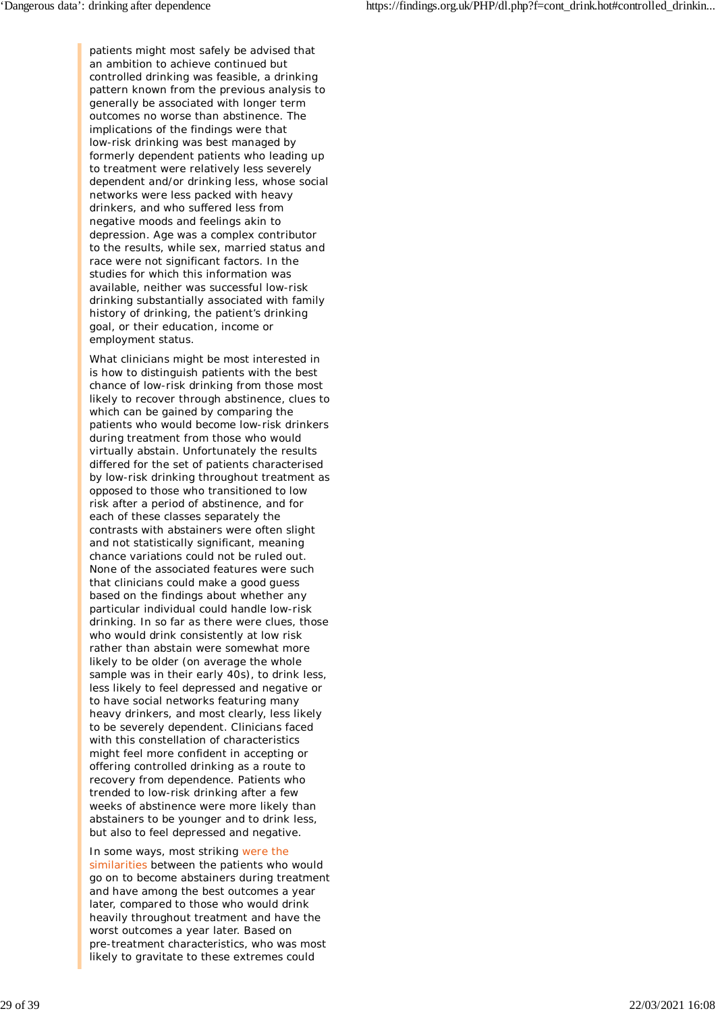patients might most safely be advised that an ambition to achieve continued but controlled drinking was feasible, a drinking pattern known from the previous analysis to generally be associated with longer term outcomes no worse than abstinence. The implications of the findings were that low-risk drinking was best managed by formerly dependent patients who leading up to treatment were relatively less severely dependent and/or drinking less, whose social networks were less packed with heavy drinkers, and who suffered less from negative moods and feelings akin to depression. Age was a complex contributor to the results, while sex, married status and race were not significant factors. In the studies for which this information was available, neither was successful low-risk drinking substantially associated with family history of drinking, the patient's drinking goal, or their education, income or employment status.

What clinicians might be most interested in is how to distinguish patients with the best chance of low-risk drinking from those most likely to recover through abstinence, clues to which can be gained by comparing the patients who would become low-risk drinkers during treatment from those who would virtually abstain. Unfortunately the results differed for the set of patients characterised by low-risk drinking throughout treatment as opposed to those who transitioned to low risk after a period of abstinence, and for each of these classes separately the contrasts with abstainers were often slight and not statistically significant, meaning chance variations could not be ruled out. None of the associated features were such that clinicians could make a good guess based on the findings about whether any particular individual could handle low-risk drinking. In so far as there were clues, those who would drink consistently at low risk rather than abstain were somewhat more likely to be older (on average the whole sample was in their early 40s), to drink less, less likely to feel depressed and negative or to have social networks featuring many heavy drinkers, and most clearly, less likely to be severely dependent. Clinicians faced with this constellation of characteristics might feel more confident in accepting or offering controlled drinking as a route to recovery from dependence. Patients who trended to low-risk drinking after a few weeks of abstinence were more likely than abstainers to be younger and to drink less, but also to feel depressed and negative.

In some ways, most striking were the similarities between the patients who would go on to become abstainers during treatment and have among the best outcomes a year later, compared to those who would drink heavily throughout treatment and have the worst outcomes a year later. Based on pre-treatment characteristics, who was most likely to gravitate to these extremes could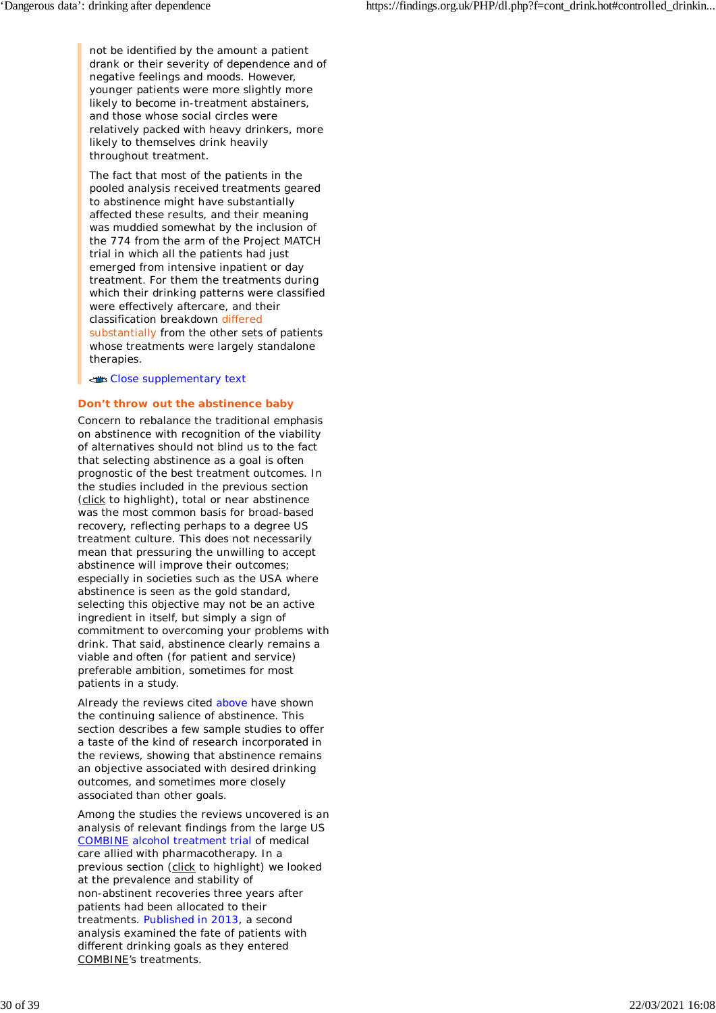not be identified by the amount a patient drank or their severity of dependence and of negative feelings and moods. However, younger patients were more slightly more likely to become in-treatment abstainers, and those whose social circles were relatively packed with heavy drinkers, more likely to themselves drink heavily throughout treatment.

The fact that most of the patients in the pooled analysis received treatments geared to abstinence might have substantially affected these results, and their meaning was muddied somewhat by the inclusion of the 774 from the arm of the Project MATCH trial in which all the patients had just emerged from intensive inpatient or day treatment. For them the treatments during which their drinking patterns were classified were effectively aftercare, and their classification breakdown differed substantially from the other sets of patients whose treatments were largely standalone therapies.

Close supplementary text

### **Don't throw out the abstinence baby**

Concern to rebalance the traditional emphasis on abstinence with recognition of the viability of alternatives should not blind us to the fact that selecting abstinence as a goal is often prognostic of the best treatment outcomes. In the studies included in the previous section (click to highlight), total or near abstinence was the most common basis for broad-based recovery, reflecting perhaps to a degree US treatment culture. This does not necessarily mean that pressuring the unwilling to accept abstinence will improve their outcomes; especially in societies such as the USA where abstinence is seen as the gold standard, selecting this objective may not be an active ingredient in itself, but simply a sign of commitment to overcoming your problems with drink. That said, abstinence clearly remains a viable and often (for patient and service) preferable ambition, sometimes for most patients in a study.

Already the reviews cited above have shown the continuing salience of abstinence. This section describes a few sample studies to offer a taste of the kind of research incorporated in the reviews, showing that abstinence remains an objective associated with desired drinking outcomes, and sometimes more closely associated than other goals.

Among the studies the reviews uncovered is an analysis of relevant findings from the large US COMBINE alcohol treatment trial of medical care allied with pharmacotherapy. In a previous section (click to highlight) we looked at the prevalence and stability of non-abstinent recoveries three years after patients had been allocated to their treatments. Published in 2013, a second analysis examined the fate of patients with different drinking goals as they entered COMBINE's treatments.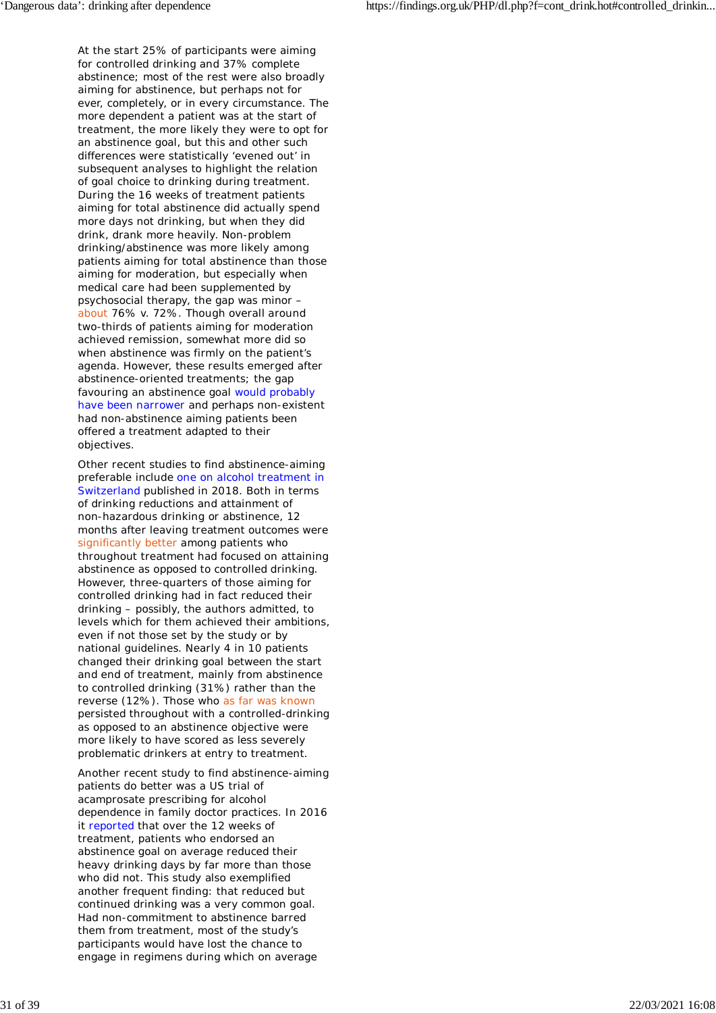At the start 25% of participants were aiming for controlled drinking and 37% complete abstinence; most of the rest were also broadly aiming for abstinence, but perhaps not for ever, completely, or in every circumstance. The more dependent a patient was at the start of treatment, the more likely they were to opt for an abstinence goal, but this and other such differences were statistically 'evened out' in subsequent analyses to highlight the relation of goal choice to drinking during treatment. During the 16 weeks of treatment patients aiming for total abstinence did actually spend more days not drinking, but when they did drink, drank more heavily. Non-problem drinking/abstinence was more likely among patients aiming for total abstinence than those aiming for moderation, but especially when medical care had been supplemented by psychosocial therapy, the gap was minor – about 76% v. 72%. Though overall around two-thirds of patients aiming for moderation achieved remission, somewhat more did so when abstinence was firmly on the patient's agenda. However, these results emerged after abstinence-oriented treatments; the gap favouring an abstinence goal would probably have been narrower and perhaps non-existent had non-abstinence aiming patients been offered a treatment adapted to their objectives.

Other recent studies to find abstinence-aiming preferable include one on alcohol treatment in Switzerland published in 2018. Both in terms of drinking reductions and attainment of non-hazardous drinking or abstinence, 12 months after leaving treatment outcomes were significantly better among patients who throughout treatment had focused on attaining abstinence as opposed to controlled drinking. However, three-quarters of those aiming for controlled drinking had in fact reduced their drinking – possibly, the authors admitted, to levels which for them achieved their ambitions, even if not those set by the study or by national guidelines. Nearly 4 in 10 patients changed their drinking goal between the start and end of treatment, mainly from abstinence to controlled drinking (31%) rather than the reverse (12%). Those who as far was known persisted throughout with a controlled-drinking as opposed to an abstinence objective were more likely to have scored as less severely problematic drinkers at entry to treatment.

Another recent study to find abstinence-aiming patients do better was a US trial of acamprosate prescribing for alcohol dependence in family doctor practices. In 2016 it reported that over the 12 weeks of treatment, patients who endorsed an abstinence goal on average reduced their heavy drinking days by far more than those who did not. This study also exemplified another frequent finding: that reduced but continued drinking was a very common goal. Had non-commitment to abstinence barred them from treatment, most of the study's participants would have lost the chance to engage in regimens during which on average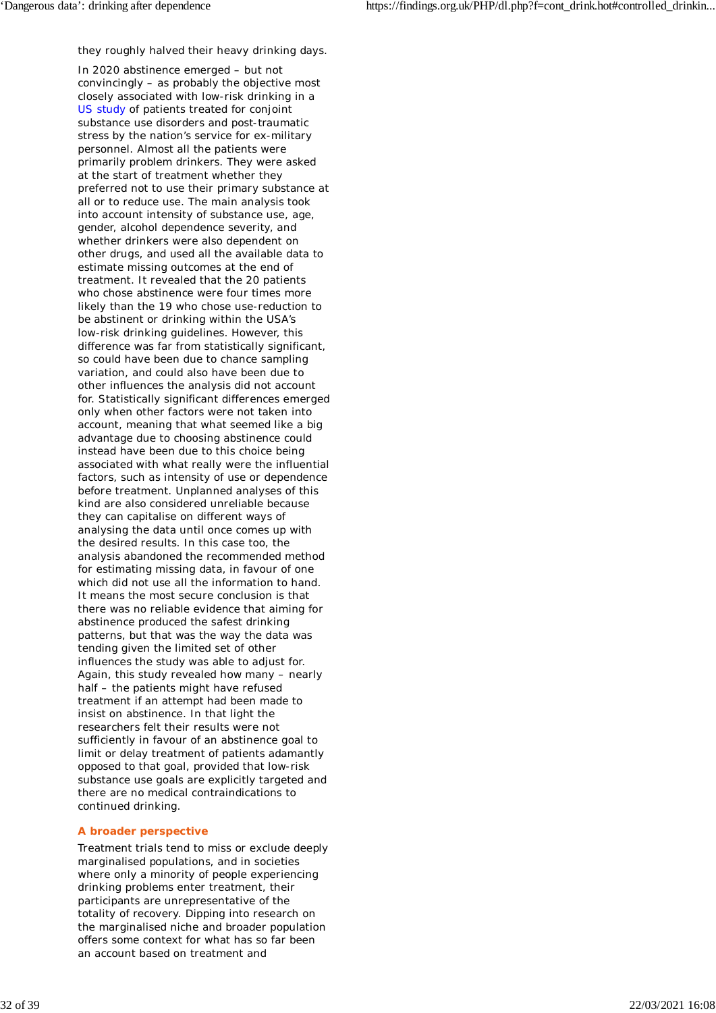they roughly halved their heavy drinking days.

In 2020 abstinence emerged – but not convincingly – as probably the objective most closely associated with low-risk drinking in a US study of patients treated for conjoint substance use disorders and post-traumatic stress by the nation's service for ex-military personnel. Almost all the patients were primarily problem drinkers. They were asked at the start of treatment whether they preferred not to use their primary substance at all or to reduce use. The main analysis took into account intensity of substance use, age, gender, alcohol dependence severity, and whether drinkers were also dependent on other drugs, and used all the available data to estimate missing outcomes at the end of treatment. It revealed that the 20 patients who chose abstinence were four times more likely than the 19 who chose use-reduction to be abstinent or drinking within the USA's low-risk drinking guidelines. However, this difference was far from statistically significant, so could have been due to chance sampling variation, and could also have been due to other influences the analysis did not account for. Statistically significant differences emerged only when other factors were *not* taken into account, meaning that what seemed like a big advantage due to choosing abstinence could instead have been due to this choice being associated with what really were the influential factors, such as intensity of use or dependence before treatment. Unplanned analyses of this kind are also considered unreliable because they can capitalise on different ways of analysing the data until once comes up with the desired results. In this case too, the analysis abandoned the recommended method for estimating missing data, in favour of one which did not use all the information to hand. It means the most secure conclusion is that there was no reliable evidence that aiming for abstinence produced the safest drinking patterns, but that was the way the data was tending given the limited set of other influences the study was able to adjust for. Again, this study revealed how many – nearly half – the patients might have refused treatment if an attempt had been made to insist on abstinence. In that light the researchers felt their results were not sufficiently in favour of an abstinence goal to limit or delay treatment of patients adamantly opposed to that goal, provided that low-risk substance use goals are explicitly targeted and there are no medical contraindications to continued drinking.

### **A broader perspective**

Treatment trials tend to miss or exclude deeply marginalised populations, and in societies where only a minority of people experiencing drinking problems enter treatment, their participants are unrepresentative of the totality of recovery. Dipping into research on the marginalised niche and broader population offers some context for what has so far been an account based on treatment and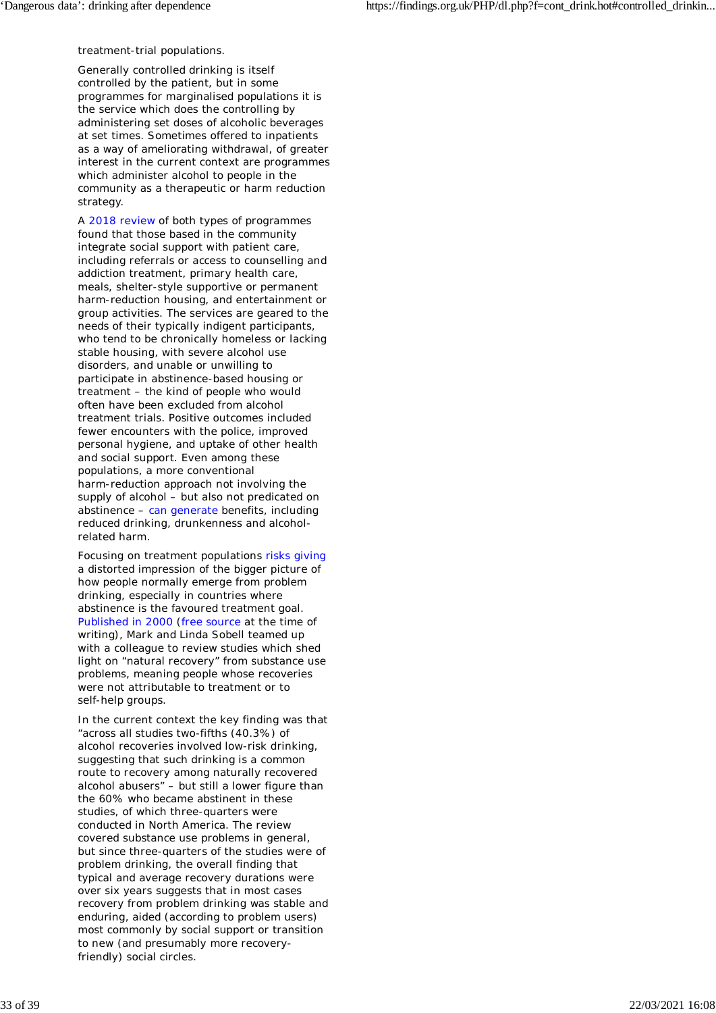treatment-trial populations.

Generally controlled drinking is itself controlled by the patient, but in some programmes for marginalised populations it is the service which does the controlling by administering set doses of alcoholic beverages at set times. Sometimes offered to inpatients as a way of ameliorating withdrawal, of greater interest in the current context are programmes which administer alcohol to people in the community as a therapeutic or harm reduction strategy.

A 2018 review of both types of programmes found that those based in the community integrate social support with patient care, including referrals or access to counselling and addiction treatment, primary health care, meals, shelter-style supportive or permanent harm-reduction housing, and entertainment or group activities. The services are geared to the needs of their typically indigent participants, who tend to be chronically homeless or lacking stable housing, with severe alcohol use disorders, and unable or unwilling to participate in abstinence-based housing or treatment – the kind of people who would often have been excluded from alcohol treatment trials. Positive outcomes included fewer encounters with the police, improved personal hygiene, and uptake of other health and social support. Even among these populations, a more conventional harm-reduction approach not involving the supply of alcohol – but also not predicated on abstinence – can generate benefits, including reduced drinking, drunkenness and alcoholrelated harm.

Focusing on treatment populations risks giving a distorted impression of the bigger picture of how people normally emerge from problem drinking, especially in countries where abstinence is the favoured treatment goal. Published in 2000 (free source at the time of writing), Mark and Linda Sobell teamed up with a colleague to review studies which shed light on "natural recovery" from substance use problems, meaning people whose recoveries were not attributable to treatment or to self-help groups.

In the current context the key finding was that "across all studies two-fifths (40.3%) of alcohol recoveries involved low-risk drinking, suggesting that such drinking is a common route to recovery among naturally recovered alcohol abusers" – but still a lower figure than the 60% who became abstinent in these studies, of which three-quarters were conducted in North America. The review covered substance use problems in general, but since three-quarters of the studies were of problem drinking, the overall finding that typical and average recovery durations were over six years suggests that in most cases recovery from problem drinking was stable and enduring, aided (according to problem users) most commonly by social support or transition to new (and presumably more recoveryfriendly) social circles.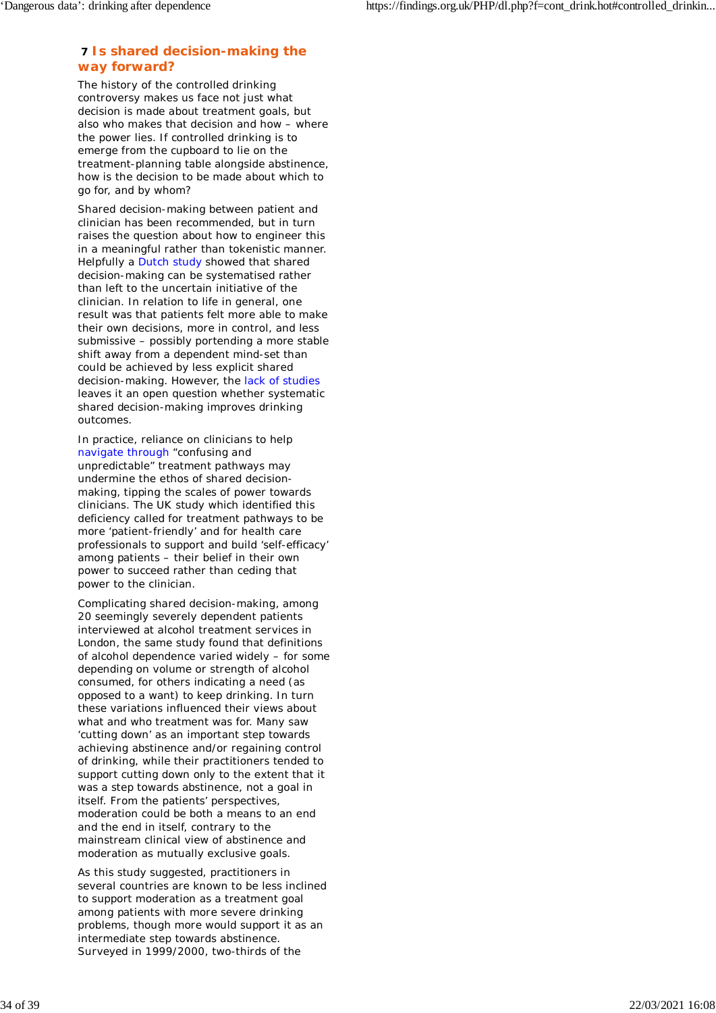# **7 Is shared decision-making the way forward?**

The history of the controlled drinking controversy makes us face not just *what* decision is made about treatment goals, but also *who* makes that decision and how – where the power lies. If controlled drinking is to emerge from the cupboard to lie on the treatment-planning table alongside abstinence, how is the decision to be made about which to go for, and by whom?

Shared decision-making between patient and clinician has been recommended, but in turn raises the question about how to engineer this in a meaningful rather than tokenistic manner. Helpfully a Dutch study showed that shared decision-making can be systematised rather than left to the uncertain initiative of the clinician. In relation to life in general, one result was that patients felt more able to make their own decisions, more in control, and less submissive – possibly portending a more stable shift away from a dependent mind-set than could be achieved by less explicit shared decision-making. However, the lack of studies leaves it an open question whether systematic shared decision-making improves drinking outcomes.

In practice, reliance on clinicians to help navigate through "confusing and unpredictable" treatment pathways may undermine the ethos of shared decisionmaking, tipping the scales of power towards clinicians. The UK study which identified this deficiency called for treatment pathways to be more 'patient-friendly' and for health care professionals to support and build 'self-efficacy' among patients – their belief in their own power to succeed rather than ceding that power to the clinician.

Complicating shared decision-making, among 20 seemingly severely dependent patients interviewed at alcohol treatment services in London, the same study found that definitions of alcohol dependence varied widely – for some depending on volume or strength of alcohol consumed, for others indicating a need (as opposed to a want) to keep drinking. In turn these variations influenced their views about *what* and *who* treatment was for. Many saw 'cutting down' as an important step towards achieving abstinence *and/or* regaining control of drinking, while their practitioners tended to support cutting down *only* to the extent that it was a step towards abstinence, not a goal in itself. From the patients' perspectives, moderation could be both a means to an end and the end in itself, contrary to the mainstream clinical view of abstinence and moderation as mutually exclusive goals.

As this study suggested, practitioners in several countries are known to be less inclined to support moderation as a treatment goal among patients with more severe drinking problems, though more would support it as an intermediate step towards abstinence. Surveyed in 1999/2000, two-thirds of the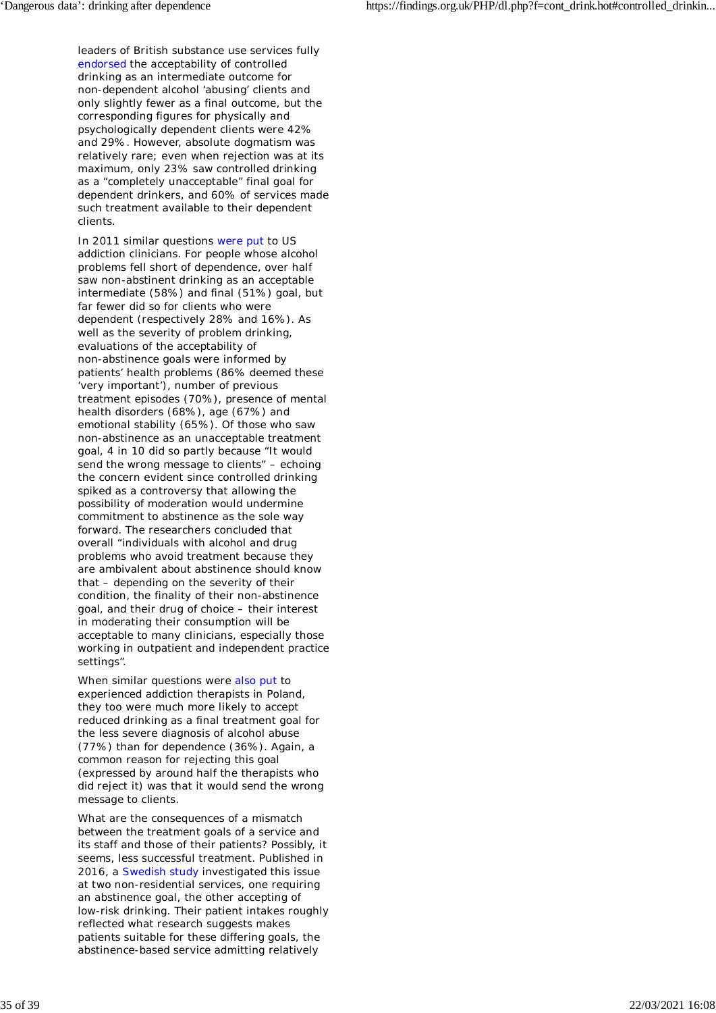leaders of British substance use services fully endorsed the acceptability of controlled drinking as an intermediate outcome for non-dependent alcohol 'abusing' clients and only slightly fewer as a final outcome, but the corresponding figures for physically and psychologically dependent clients were 42% and 29%. However, absolute dogmatism was relatively rare; even when rejection was at its maximum, only 23% saw controlled drinking as a "completely unacceptable" final goal for dependent drinkers, and 60% of services made such treatment available to their dependent clients.

In 2011 similar questions were put to US addiction clinicians. For people whose alcohol problems fell short of dependence, over half saw non-abstinent drinking as an acceptable intermediate (58%) and final (51%) goal, but far fewer did so for clients who were dependent (respectively 28% and 16%). As well as the severity of problem drinking, evaluations of the acceptability of non-abstinence goals were informed by patients' health problems (86% deemed these 'very important'), number of previous treatment episodes (70%), presence of mental health disorders (68%), age (67%) and emotional stability (65%). Of those who saw non-abstinence as an unacceptable treatment goal, 4 in 10 did so partly because "It would send the wrong message to clients" – echoing the concern evident since controlled drinking spiked as a controversy that allowing the possibility of moderation would undermine commitment to abstinence as the sole way forward. The researchers concluded that overall "individuals with alcohol and drug problems who avoid treatment because they are ambivalent about abstinence should know that – depending on the severity of their condition, the finality of their non-abstinence goal, and their drug of choice – their interest in moderating their consumption will be acceptable to many clinicians, especially those working in outpatient and independent practice settings".

When similar questions were also put to experienced addiction therapists in Poland, they too were much more likely to accept reduced drinking as a final treatment goal for the less severe diagnosis of alcohol abuse (77%) than for dependence (36%). Again, a common reason for rejecting this goal (expressed by around half the therapists who did reject it) was that it would send the wrong message to clients.

What are the consequences of a mismatch between the treatment goals of a service and its staff and those of their patients? Possibly, it seems, less successful treatment. Published in 2016, a Swedish study investigated this issue at two non-residential services, one requiring an abstinence goal, the other accepting of low-risk drinking. Their patient intakes roughly reflected what research suggests makes patients suitable for these differing goals, the abstinence-based service admitting relatively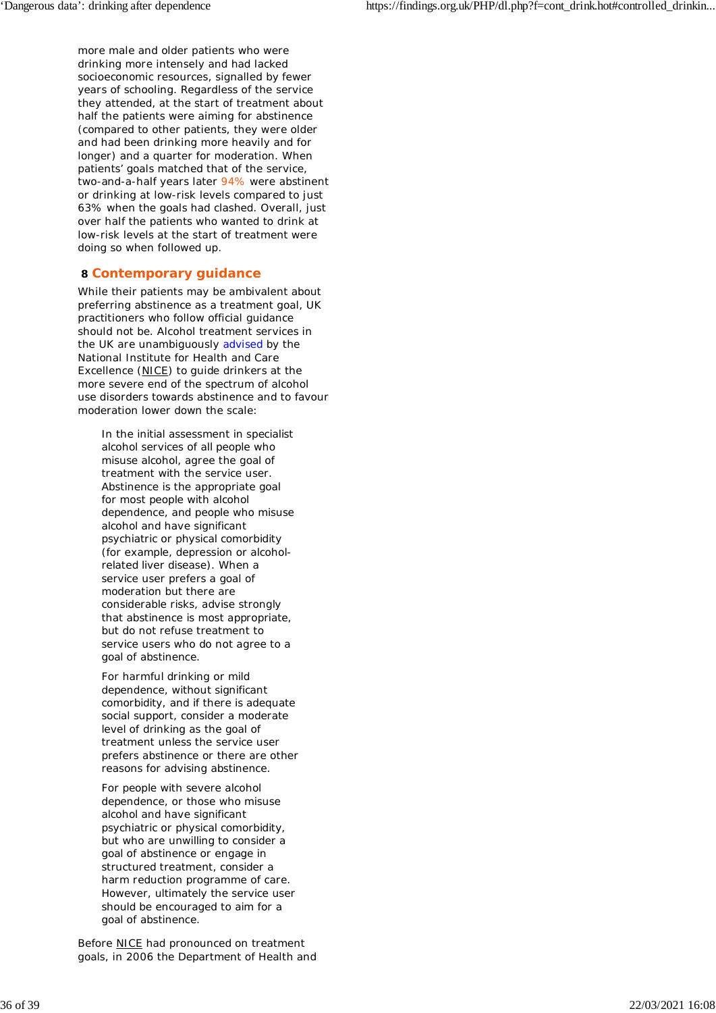more male and older patients who were drinking more intensely and had lacked socioeconomic resources, signalled by fewer years of schooling. Regardless of the service they attended, at the start of treatment about half the patients were aiming for abstinence (compared to other patients, they were older and had been drinking more heavily and for longer) and a quarter for moderation. When patients' goals matched that of the service, two-and-a-half years later 94% were abstinent or drinking at low-risk levels compared to just 63% when the goals had clashed. Overall, just over half the patients who wanted to drink at low-risk levels at the start of treatment were doing so when followed up.

## **8 Contemporary guidance**

While their patients may be ambivalent about preferring abstinence as a treatment goal, UK practitioners who follow official guidance should not be. Alcohol treatment services in the UK are unambiguously advised by the National Institute for Health and Care Excellence (NICE) to guide drinkers at the more severe end of the spectrum of alcohol use disorders towards abstinence and to favour moderation lower down the scale:

*In the initial assessment in specialist alcohol services of all people who misuse alcohol, agree the goal of treatment with the service user. Abstinence is the appropriate goal for most people with alcohol dependence, and people who misuse alcohol and have significant psychiatric or physical comorbidity (for example, depression or alcoholrelated liver disease). When a service user prefers a goal of moderation but there are considerable risks, advise strongly that abstinence is most appropriate, but do not refuse treatment to service users who do not agree to a goal of abstinence.*

*For harmful drinking or mild dependence, without significant comorbidity, and if there is adequate social support, consider a moderate level of drinking as the goal of treatment unless the service user prefers abstinence or there are other reasons for advising abstinence.*

*For people with severe alcohol dependence, or those who misuse alcohol and have significant psychiatric or physical comorbidity, but who are unwilling to consider a goal of abstinence or engage in structured treatment, consider a harm reduction programme of care. However, ultimately the service user should be encouraged to aim for a goal of abstinence.*

Before NICE had pronounced on treatment goals, in 2006 the Department of Health and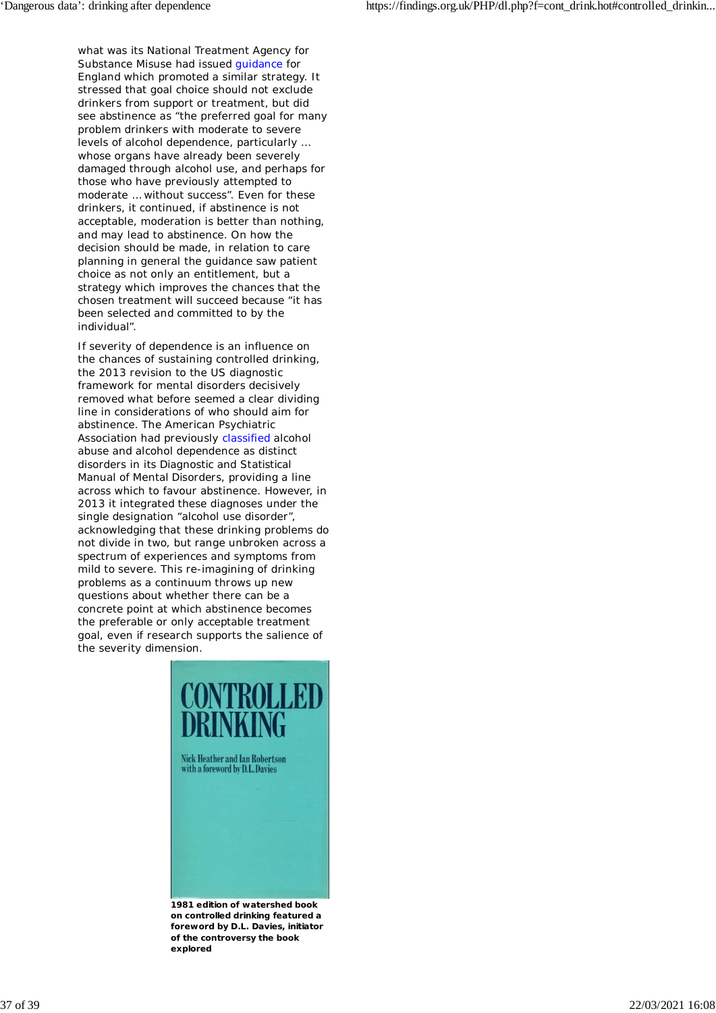what was its National Treatment Agency for Substance Misuse had issued guidance for England which promoted a similar strategy. It stressed that goal choice should not exclude drinkers from support or treatment, but did see abstinence as "the preferred goal for many problem drinkers with moderate to severe levels of alcohol dependence, particularly … whose organs have already been severely damaged through alcohol use, and perhaps for those who have previously attempted to moderate … without success". Even for these drinkers, it continued, if abstinence is not acceptable, moderation is better than nothing, and may lead to abstinence. On how the decision should be made, in relation to care planning in general the guidance saw patient choice as not only an entitlement, but a strategy which improves the chances that the chosen treatment will succeed because "it has been selected and committed to by the individual".

If severity of dependence is an influence on the chances of sustaining controlled drinking, the 2013 revision to the US diagnostic framework for mental disorders decisively removed what before seemed a clear dividing line in considerations of who should aim for abstinence. The American Psychiatric Association had previously classified alcohol abuse and alcohol dependence as distinct disorders in its *Diagnostic and Statistical Manual of Mental Disorders*, providing a line across which to favour abstinence. However, in 2013 it integrated these diagnoses under the single designation "alcohol use disorder", acknowledging that these drinking problems do not divide in two, but range unbroken across a spectrum of experiences and symptoms from mild to severe. This re-imagining of drinking problems as a continuum throws up new questions about whether there can be a concrete point at which abstinence becomes the preferable or only acceptable treatment goal, even if research supports the salience of the severity dimension.



**on controlled drinking featured a foreword by D.L. Davies, initiator of the controversy the book explored**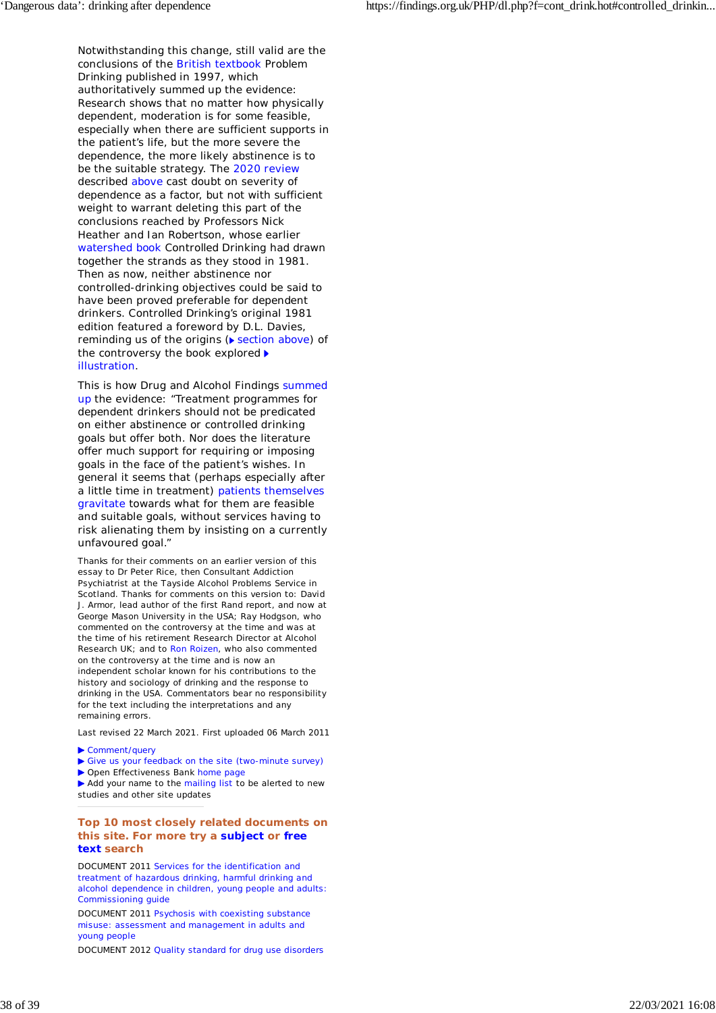Notwithstanding this change, still valid are the conclusions of the British textbook *Problem Drinking* published in 1997, which authoritatively summed up the evidence: Research shows that no matter how physically dependent, moderation is for some feasible, especially when there are sufficient supports in the patient's life, but the more severe the dependence, the more likely abstinence is to be the suitable strategy. The 2020 review described above cast doubt on severity of dependence as a factor, but not with sufficient weight to warrant deleting this part of the conclusions reached by Professors Nick Heather and Ian Robertson, whose earlier watershed book *Controlled Drinking* had drawn together the strands as they stood in 1981. Then as now, neither abstinence nor controlled-drinking objectives could be said to have been proved preferable for dependent drinkers. *Controlled Drinking*'s original 1981 edition featured a foreword by D.L. Davies, reminding us of the origins  $($  section above) of the controversy the book explored  $\blacktriangleright$ illustration.

This is how Drug and Alcohol Findings summed up the evidence: "Treatment programmes for dependent drinkers should not be predicated on either abstinence or controlled drinking goals but offer both. Nor does the literature offer much support for requiring or imposing goals in the face of the patient's wishes. In general it seems that (perhaps especially after a little time in treatment) patients themselves gravitate towards what for them are feasible and suitable goals, without services having to risk alienating them by insisting on a currently unfavoured goal."

*Thanks for their comments on an earlier version of this essay to Dr Peter Rice, then Consultant Addiction Psychiatrist at the Tayside Alcohol Problems Service in Scotland. Thanks for comments on this version to: David J. Armor, lead author of the first Rand report, and now at George Mason University in the USA; Ray Hodgson, who commented on the controversy at the time and was at the time of his retirement Research Director at Alcohol Research UK; and to Ron Roizen, who also commented on the controversy at the time and is now an independent scholar known for his contributions to the history and sociology of drinking and the response to drinking in the USA. Commentators bear no responsibility for the text including the interpretations and any remaining errors.*

Last revised 22 March 2021. First uploaded 06 March 2011

#### ▶ Comment/query

- Give us your feedback on the site (two-minute survey)
- ▶ Open Effectiveness Bank home page

Add your name to the mailing list to be alerted to new studies and other site updates

**Top 10 most closely related documents on this site. For more try a subject or free text search**

DOCUMENT 2011 Services for the identification and treatment of hazardous drinking, harmful drinking and alcohol dependence in children, young people and adults: Commissioning guide

DOCUMENT 2011 Psychosis with coexisting substance misuse: assessment and management in adults and young people

DOCUMENT 2012 Quality standard for drug use disorders